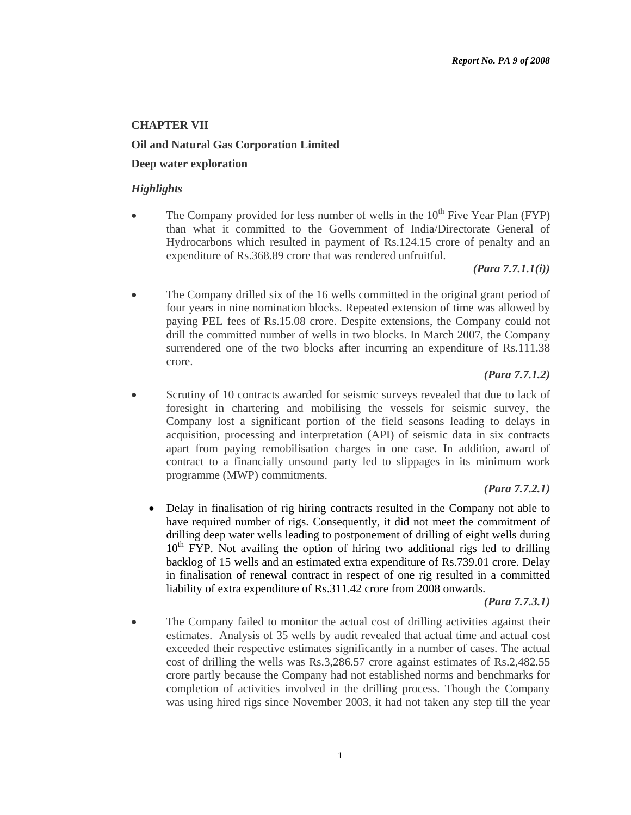# **CHAPTER VII**

## **Oil and Natural Gas Corporation Limited**

### **Deep water exploration**

#### *Highlights*

The Company provided for less number of wells in the  $10<sup>th</sup>$  Five Year Plan (FYP) than what it committed to the Government of India/Directorate General of Hydrocarbons which resulted in payment of Rs.124.15 crore of penalty and an expenditure of Rs.368.89 crore that was rendered unfruitful.

*(Para 7.7.1.1(i))* 

• The Company drilled six of the 16 wells committed in the original grant period of four years in nine nomination blocks. Repeated extension of time was allowed by paying PEL fees of Rs.15.08 crore. Despite extensions, the Company could not drill the committed number of wells in two blocks. In March 2007, the Company surrendered one of the two blocks after incurring an expenditure of Rs.111.38 crore.

#### *(Para 7.7.1.2)*

• Scrutiny of 10 contracts awarded for seismic surveys revealed that due to lack of foresight in chartering and mobilising the vessels for seismic survey, the Company lost a significant portion of the field seasons leading to delays in acquisition, processing and interpretation (API) of seismic data in six contracts apart from paying remobilisation charges in one case. In addition, award of contract to a financially unsound party led to slippages in its minimum work programme (MWP) commitments.

### *(Para 7.7.2.1)*

• Delay in finalisation of rig hiring contracts resulted in the Company not able to have required number of rigs. Consequently, it did not meet the commitment of drilling deep water wells leading to postponement of drilling of eight wells during  $10<sup>th</sup>$  FYP. Not availing the option of hiring two additional rigs led to drilling backlog of 15 wells and an estimated extra expenditure of Rs.739.01 crore. Delay in finalisation of renewal contract in respect of one rig resulted in a committed liability of extra expenditure of Rs.311.42 crore from 2008 onwards.

*(Para 7.7.3.1)* 

The Company failed to monitor the actual cost of drilling activities against their estimates. Analysis of 35 wells by audit revealed that actual time and actual cost exceeded their respective estimates significantly in a number of cases. The actual cost of drilling the wells was Rs.3,286.57 crore against estimates of Rs.2,482.55 crore partly because the Company had not established norms and benchmarks for completion of activities involved in the drilling process. Though the Company was using hired rigs since November 2003, it had not taken any step till the year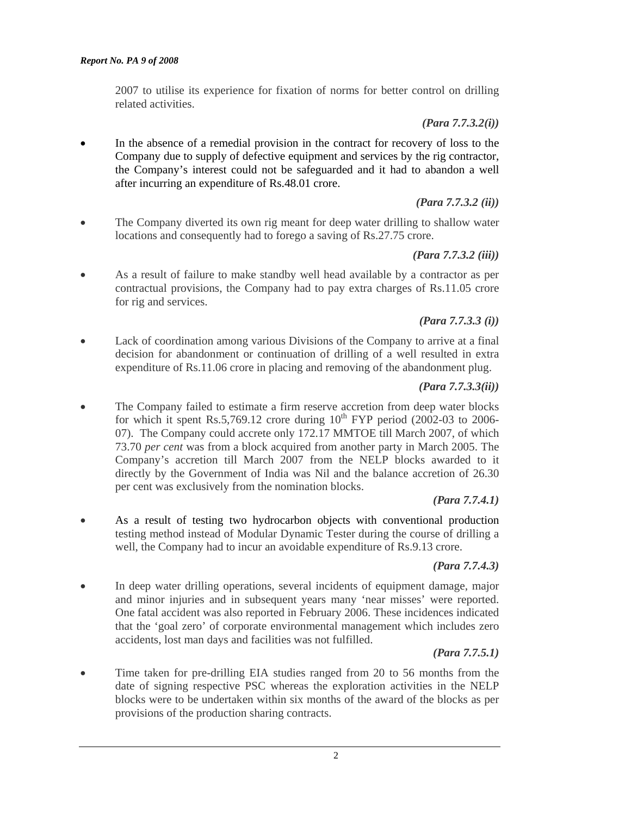2007 to utilise its experience for fixation of norms for better control on drilling related activities.

*(Para 7.7.3.2(i))* 

In the absence of a remedial provision in the contract for recovery of loss to the Company due to supply of defective equipment and services by the rig contractor, the Company's interest could not be safeguarded and it had to abandon a well after incurring an expenditure of Rs.48.01 crore.

#### *(Para 7.7.3.2 (ii))*

• The Company diverted its own rig meant for deep water drilling to shallow water locations and consequently had to forego a saving of Rs.27.75 crore.

### *(Para 7.7.3.2 (iii))*

• As a result of failure to make standby well head available by a contractor as per contractual provisions, the Company had to pay extra charges of Rs.11.05 crore for rig and services.

### *(Para 7.7.3.3 (i))*

• Lack of coordination among various Divisions of the Company to arrive at a final decision for abandonment or continuation of drilling of a well resulted in extra expenditure of Rs.11.06 crore in placing and removing of the abandonment plug.

### *(Para 7.7.3.3(ii))*

The Company failed to estimate a firm reserve accretion from deep water blocks for which it spent Rs.5,769.12 crore during  $10^{th}$  FYP period (2002-03 to 2006-07). The Company could accrete only 172.17 MMTOE till March 2007, of which 73.70 *per cent* was from a block acquired from another party in March 2005. The Company's accretion till March 2007 from the NELP blocks awarded to it directly by the Government of India was Nil and the balance accretion of 26.30 per cent was exclusively from the nomination blocks.

### *(Para 7.7.4.1)*

• As a result of testing two hydrocarbon objects with conventional production testing method instead of Modular Dynamic Tester during the course of drilling a well, the Company had to incur an avoidable expenditure of Rs.9.13 crore.

### *(Para 7.7.4.3)*

• In deep water drilling operations, several incidents of equipment damage, major and minor injuries and in subsequent years many 'near misses' were reported. One fatal accident was also reported in February 2006. These incidences indicated that the 'goal zero' of corporate environmental management which includes zero accidents, lost man days and facilities was not fulfilled.

### *(Para 7.7.5.1)*

• Time taken for pre-drilling EIA studies ranged from 20 to 56 months from the date of signing respective PSC whereas the exploration activities in the NELP blocks were to be undertaken within six months of the award of the blocks as per provisions of the production sharing contracts.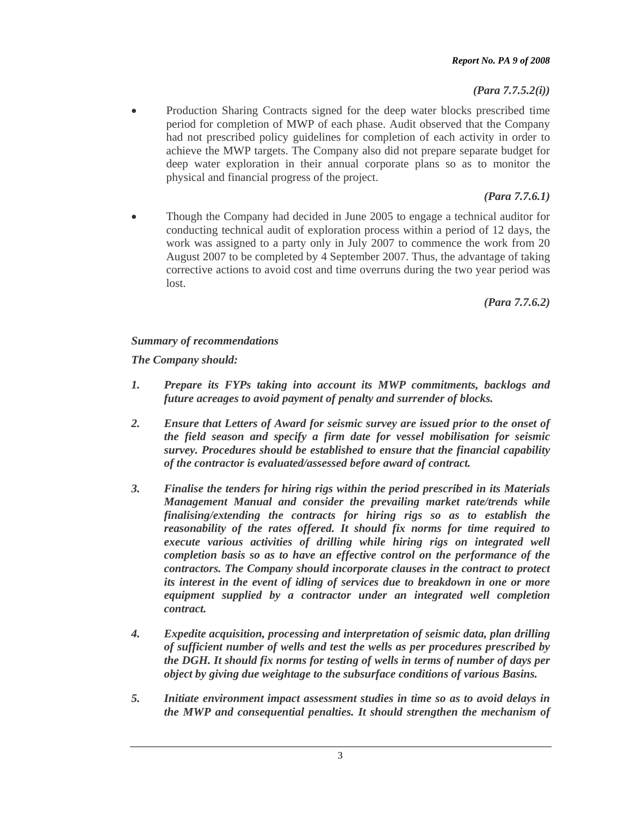*(Para 7.7.5.2(i))* 

• Production Sharing Contracts signed for the deep water blocks prescribed time period for completion of MWP of each phase. Audit observed that the Company had not prescribed policy guidelines for completion of each activity in order to achieve the MWP targets. The Company also did not prepare separate budget for deep water exploration in their annual corporate plans so as to monitor the physical and financial progress of the project.

# *(Para 7.7.6.1)*

• Though the Company had decided in June 2005 to engage a technical auditor for conducting technical audit of exploration process within a period of 12 days, the work was assigned to a party only in July 2007 to commence the work from 20 August 2007 to be completed by 4 September 2007. Thus, the advantage of taking corrective actions to avoid cost and time overruns during the two year period was lost.

*(Para 7.7.6.2)* 

# *Summary of recommendations*

*The Company should:* 

- *1. Prepare its FYPs taking into account its MWP commitments, backlogs and future acreages to avoid payment of penalty and surrender of blocks.*
- *2. Ensure that Letters of Award for seismic survey are issued prior to the onset of the field season and specify a firm date for vessel mobilisation for seismic survey. Procedures should be established to ensure that the financial capability of the contractor is evaluated/assessed before award of contract.*
- *3. Finalise the tenders for hiring rigs within the period prescribed in its Materials Management Manual and consider the prevailing market rate/trends while finalising/extending the contracts for hiring rigs so as to establish the reasonability of the rates offered. It should fix norms for time required to execute various activities of drilling while hiring rigs on integrated well completion basis so as to have an effective control on the performance of the contractors. The Company should incorporate clauses in the contract to protect its interest in the event of idling of services due to breakdown in one or more equipment supplied by a contractor under an integrated well completion contract.*
- *4. Expedite acquisition, processing and interpretation of seismic data, plan drilling of sufficient number of wells and test the wells as per procedures prescribed by the DGH. It should fix norms for testing of wells in terms of number of days per object by giving due weightage to the subsurface conditions of various Basins.*
- *5. Initiate environment impact assessment studies in time so as to avoid delays in the MWP and consequential penalties. It should strengthen the mechanism of*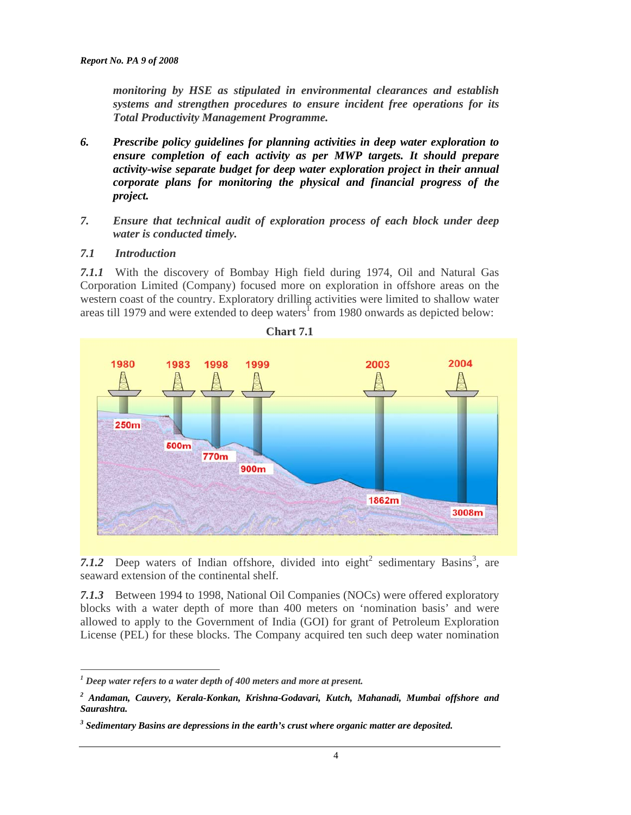*monitoring by HSE as stipulated in environmental clearances and establish systems and strengthen procedures to ensure incident free operations for its Total Productivity Management Programme.* 

- *6. Prescribe policy guidelines for planning activities in deep water exploration to ensure completion of each activity as per MWP targets. It should prepare activity-wise separate budget for deep water exploration project in their annual corporate plans for monitoring the physical and financial progress of the project.*
- *7. Ensure that technical audit of exploration process of each block under deep water is conducted timely.*

#### *7.1 Introduction*

 $\overline{a}$ 

*7.1.1* With the discovery of Bombay High field during 1974, Oil and Natural Gas Corporation Limited (Company) focused more on exploration in offshore areas on the western coast of the country. Exploratory drilling activities were limited to shallow water areas till 1979 and were extended to deep waters<sup>1</sup> from 1980 onwards as depicted below:



7.1.2 Deep waters of Indian offshore, divided into eight<sup>2</sup> sedimentary Basins<sup>3</sup>, are seaward extension of the continental shelf.

*7.1.3* Between 1994 to 1998, National Oil Companies (NOCs) were offered exploratory blocks with a water depth of more than 400 meters on 'nomination basis' and were allowed to apply to the Government of India (GOI) for grant of Petroleum Exploration License (PEL) for these blocks. The Company acquired ten such deep water nomination

<sup>&</sup>lt;sup>1</sup> Deep water refers to a water depth of 400 meters and more at present.

*<sup>2</sup> Andaman, Cauvery, Kerala-Konkan, Krishna-Godavari, Kutch, Mahanadi, Mumbai offshore and Saurashtra.*

*<sup>3</sup> Sedimentary Basins are depressions in the earth's crust where organic matter are deposited.*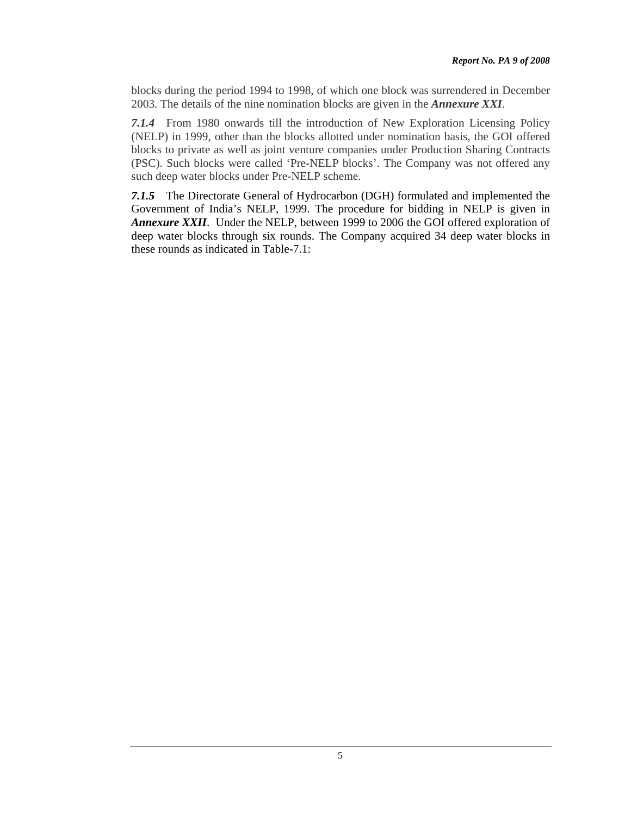blocks during the period 1994 to 1998, of which one block was surrendered in December 2003. The details of the nine nomination blocks are given in the *Annexure XXI*.

*7.1.4* From 1980 onwards till the introduction of New Exploration Licensing Policy (NELP) in 1999, other than the blocks allotted under nomination basis, the GOI offered blocks to private as well as joint venture companies under Production Sharing Contracts (PSC). Such blocks were called 'Pre-NELP blocks'. The Company was not offered any such deep water blocks under Pre-NELP scheme.

*7.1.5* The Directorate General of Hydrocarbon (DGH) formulated and implemented the Government of India's NELP, 1999. The procedure for bidding in NELP is given in *Annexure XXII*. Under the NELP, between 1999 to 2006 the GOI offered exploration of deep water blocks through six rounds. The Company acquired 34 deep water blocks in these rounds as indicated in Table-7.1: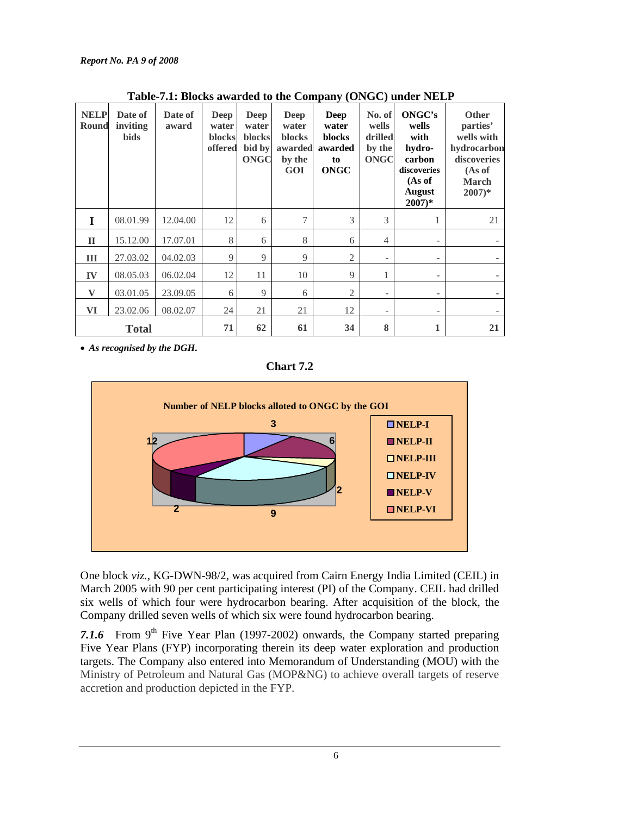| <b>NELP</b><br><b>Round</b> | Date of<br>inviting<br><b>bids</b> | Date of<br>award | Deep<br>water<br>blocks<br>offered | Deep<br>water<br><b>blocks</b><br>bid by<br><b>ONGC</b> | Deep<br>water<br>blocks<br>awarded<br>by the<br>GOI | Deep<br>water<br>blocks<br>awarded<br>to<br>ONGC | No. of<br>wells<br>drilled<br>by the<br><b>ONGC</b> | ONGC's<br>wells<br>with<br>hydro-<br>carbon<br>discoveries<br>(As of<br><b>August</b><br>$2007)*$ | <b>Other</b><br>parties'<br>wells with<br>hydrocarbon<br>discoveries<br>(As of<br><b>March</b><br>$2007)*$ |
|-----------------------------|------------------------------------|------------------|------------------------------------|---------------------------------------------------------|-----------------------------------------------------|--------------------------------------------------|-----------------------------------------------------|---------------------------------------------------------------------------------------------------|------------------------------------------------------------------------------------------------------------|
| I                           | 08.01.99                           | 12.04.00         | 12                                 | 6                                                       | 7                                                   | 3                                                | 3                                                   |                                                                                                   | 21                                                                                                         |
| $\mathbf{I}$                | 15.12.00                           | 17.07.01         | 8                                  | 6                                                       | 8                                                   | 6                                                | 4                                                   |                                                                                                   |                                                                                                            |
| III                         | 27.03.02                           | 04.02.03         | 9                                  | 9                                                       | 9                                                   | 2                                                | $\overline{\phantom{a}}$                            | $\overline{\phantom{0}}$                                                                          |                                                                                                            |
| IV                          | 08.05.03                           | 06.02.04         | 12                                 | 11                                                      | 10                                                  | 9                                                | 1                                                   | $\overline{\phantom{0}}$                                                                          |                                                                                                            |
| $\mathbf{V}$                | 03.01.05                           | 23.09.05         | 6                                  | 9                                                       | 6                                                   | 2                                                | $\overline{\phantom{a}}$                            | $\overline{\phantom{0}}$                                                                          |                                                                                                            |
| VI                          | 23.02.06                           | 08.02.07         | 24                                 | 21                                                      | 21                                                  | 12                                               | $\overline{\phantom{a}}$                            |                                                                                                   |                                                                                                            |
|                             | <b>Total</b>                       |                  | 71                                 | 62                                                      | 61                                                  | 34                                               | 8                                                   |                                                                                                   | 21                                                                                                         |

 **Table-7.1: Blocks awarded to the Company (ONGC) under NELP** 

• *As recognised by the DGH.* 

**Chart 7.2** 



One block *viz.,* KG-DWN-98/2, was acquired from Cairn Energy India Limited (CEIL) in March 2005 with 90 per cent participating interest (PI) of the Company. CEIL had drilled six wells of which four were hydrocarbon bearing. After acquisition of the block, the Company drilled seven wells of which six were found hydrocarbon bearing.

7.1.6 From  $9<sup>th</sup>$  Five Year Plan (1997-2002) onwards, the Company started preparing Five Year Plans (FYP) incorporating therein its deep water exploration and production targets. The Company also entered into Memorandum of Understanding (MOU) with the Ministry of Petroleum and Natural Gas (MOP&NG) to achieve overall targets of reserve accretion and production depicted in the FYP.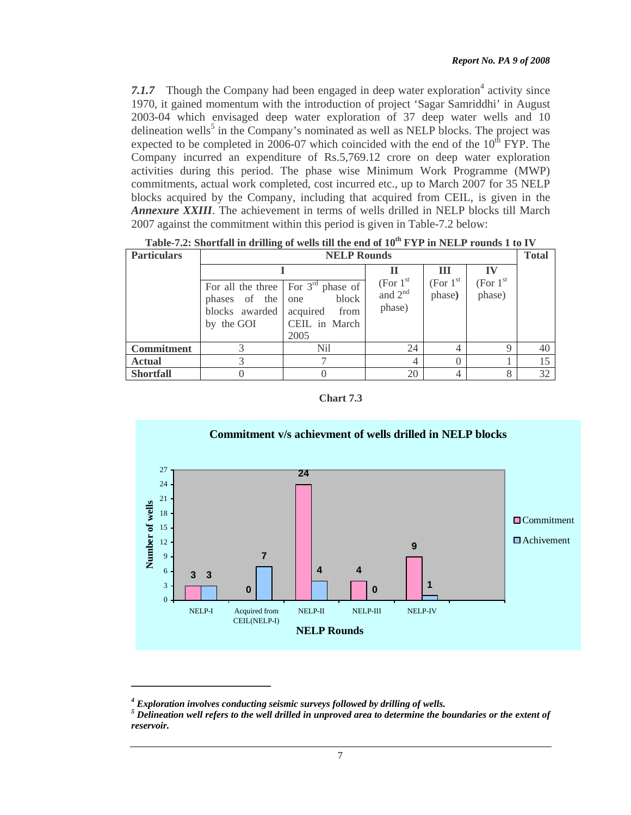7.1.7 Though the Company had been engaged in deep water exploration<sup>4</sup> activity since 1970, it gained momentum with the introduction of project 'Sagar Samriddhi' in August 2003-04 which envisaged deep water exploration of 37 deep water wells and 10 delineation wells<sup>5</sup> in the Company's nominated as well as NELP blocks. The project was expected to be completed in 2006-07 which coincided with the end of the  $10^{th}$  FYP. The Company incurred an expenditure of Rs.5,769.12 crore on deep water exploration activities during this period. The phase wise Minimum Work Programme (MWP) commitments, actual work completed, cost incurred etc., up to March 2007 for 35 NELP blocks acquired by the Company, including that acquired from CEIL, is given in the *Annexure XXIII*. The achievement in terms of wells drilled in NELP blocks till March 2007 against the commitment within this period is given in Table-7.2 below:

| <u>1 avre 1.2. Shortian in urining or wens the the chu of 10. Feed in Fusicial Tourus 1 to 1 v</u> |                                                   |                                                                                                              |                                   |                                  |                                  |    |  |  |  |
|----------------------------------------------------------------------------------------------------|---------------------------------------------------|--------------------------------------------------------------------------------------------------------------|-----------------------------------|----------------------------------|----------------------------------|----|--|--|--|
| <b>Particulars</b>                                                                                 | <b>NELP Rounds</b>                                |                                                                                                              |                                   |                                  |                                  |    |  |  |  |
|                                                                                                    |                                                   |                                                                                                              |                                   | Ш                                | $\bf{IV}$                        |    |  |  |  |
|                                                                                                    | phases of the one<br>blocks awarded<br>by the GOI | For all the three $\vert$ For 3 <sup>rd</sup> phase of<br>block<br>acquired<br>from<br>CEIL in March<br>2005 | (For $1st$<br>and $2nd$<br>phase) | (For 1 <sup>st</sup> )<br>phase) | (For 1 <sup>st</sup> )<br>phase) |    |  |  |  |
| <b>Commitment</b>                                                                                  |                                                   | Nil                                                                                                          | 24                                |                                  | 9                                | 40 |  |  |  |
| <b>Actual</b>                                                                                      |                                                   |                                                                                                              | 4                                 |                                  |                                  | 15 |  |  |  |
| <b>Shortfall</b>                                                                                   |                                                   |                                                                                                              | 20                                |                                  | 8                                | 32 |  |  |  |

Table-7.2: Shortfall in drilling of wells till the end of  $10^{th}$  FVP in NELP rounds 1 to IV

**Chart 7.3**



<sup>&</sup>lt;sup>4</sup> Exploration involves conducting seismic surveys followed by drilling of wells.

 $^5$  Delineation well refers to the well drilled in unproved area to determine the boundaries or the extent of *reservoir.*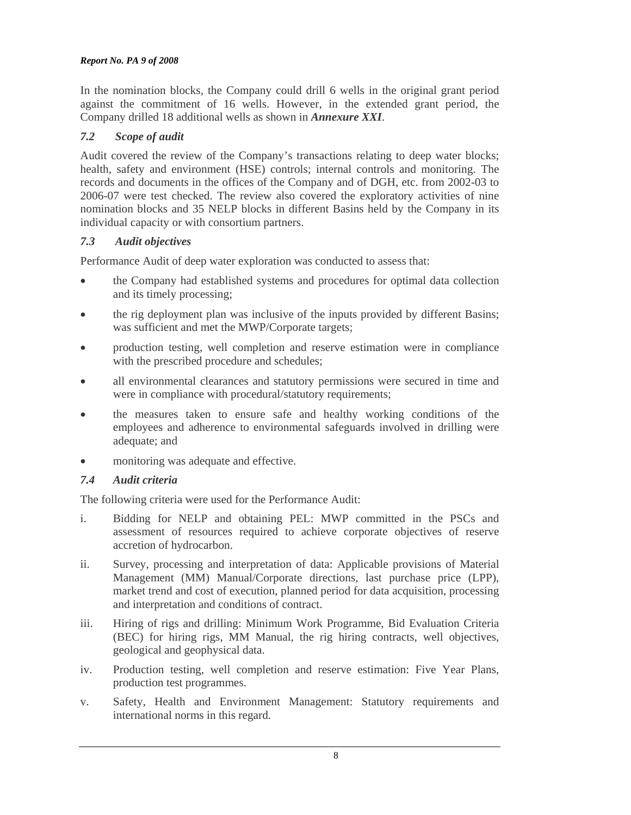In the nomination blocks, the Company could drill 6 wells in the original grant period against the commitment of 16 wells. However, in the extended grant period, the Company drilled 18 additional wells as shown in *Annexure XXI*.

### *7.2 Scope of audit*

Audit covered the review of the Company's transactions relating to deep water blocks; health, safety and environment (HSE) controls; internal controls and monitoring. The records and documents in the offices of the Company and of DGH, etc. from 2002-03 to 2006-07 were test checked. The review also covered the exploratory activities of nine nomination blocks and 35 NELP blocks in different Basins held by the Company in its individual capacity or with consortium partners.

### *7.3 Audit objectives*

Performance Audit of deep water exploration was conducted to assess that:

- the Company had established systems and procedures for optimal data collection and its timely processing;
- the rig deployment plan was inclusive of the inputs provided by different Basins; was sufficient and met the MWP/Corporate targets;
- production testing, well completion and reserve estimation were in compliance with the prescribed procedure and schedules;
- all environmental clearances and statutory permissions were secured in time and were in compliance with procedural/statutory requirements;
- the measures taken to ensure safe and healthy working conditions of the employees and adherence to environmental safeguards involved in drilling were adequate; and
- monitoring was adequate and effective.

# *7.4 Audit criteria*

The following criteria were used for the Performance Audit:

- i. Bidding for NELP and obtaining PEL: MWP committed in the PSCs and assessment of resources required to achieve corporate objectives of reserve accretion of hydrocarbon.
- ii. Survey, processing and interpretation of data: Applicable provisions of Material Management (MM) Manual/Corporate directions, last purchase price (LPP), market trend and cost of execution, planned period for data acquisition, processing and interpretation and conditions of contract.
- iii. Hiring of rigs and drilling: Minimum Work Programme, Bid Evaluation Criteria (BEC) for hiring rigs, MM Manual, the rig hiring contracts, well objectives, geological and geophysical data.
- iv. Production testing, well completion and reserve estimation: Five Year Plans, production test programmes.
- v. Safety, Health and Environment Management: Statutory requirements and international norms in this regard.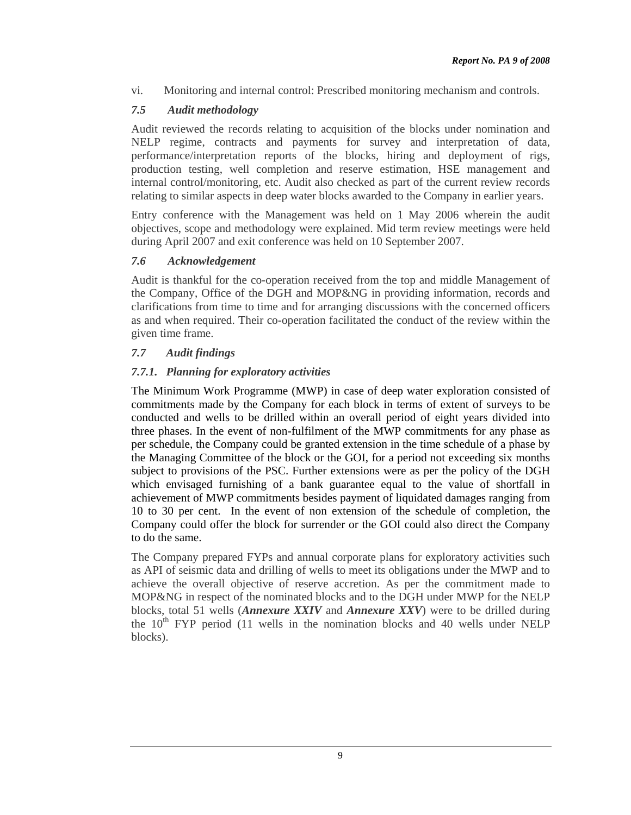vi. Monitoring and internal control: Prescribed monitoring mechanism and controls.

# *7.5 Audit methodology*

Audit reviewed the records relating to acquisition of the blocks under nomination and NELP regime, contracts and payments for survey and interpretation of data, performance/interpretation reports of the blocks, hiring and deployment of rigs, production testing, well completion and reserve estimation, HSE management and internal control/monitoring, etc. Audit also checked as part of the current review records relating to similar aspects in deep water blocks awarded to the Company in earlier years.

Entry conference with the Management was held on 1 May 2006 wherein the audit objectives, scope and methodology were explained. Mid term review meetings were held during April 2007 and exit conference was held on 10 September 2007.

### *7.6 Acknowledgement*

Audit is thankful for the co-operation received from the top and middle Management of the Company, Office of the DGH and MOP&NG in providing information, records and clarifications from time to time and for arranging discussions with the concerned officers as and when required. Their co-operation facilitated the conduct of the review within the given time frame.

### *7.7 Audit findings*

# *7.7.1. Planning for exploratory activities*

The Minimum Work Programme (MWP) in case of deep water exploration consisted of commitments made by the Company for each block in terms of extent of surveys to be conducted and wells to be drilled within an overall period of eight years divided into three phases. In the event of non-fulfilment of the MWP commitments for any phase as per schedule, the Company could be granted extension in the time schedule of a phase by the Managing Committee of the block or the GOI, for a period not exceeding six months subject to provisions of the PSC. Further extensions were as per the policy of the DGH which envisaged furnishing of a bank guarantee equal to the value of shortfall in achievement of MWP commitments besides payment of liquidated damages ranging from 10 to 30 per cent. In the event of non extension of the schedule of completion, the Company could offer the block for surrender or the GOI could also direct the Company to do the same.

The Company prepared FYPs and annual corporate plans for exploratory activities such as API of seismic data and drilling of wells to meet its obligations under the MWP and to achieve the overall objective of reserve accretion. As per the commitment made to MOP&NG in respect of the nominated blocks and to the DGH under MWP for the NELP blocks, total 51 wells (*Annexure XXIV* and *Annexure XXV*) were to be drilled during the  $10<sup>th</sup> FYP$  period (11 wells in the nomination blocks and 40 wells under NELP blocks).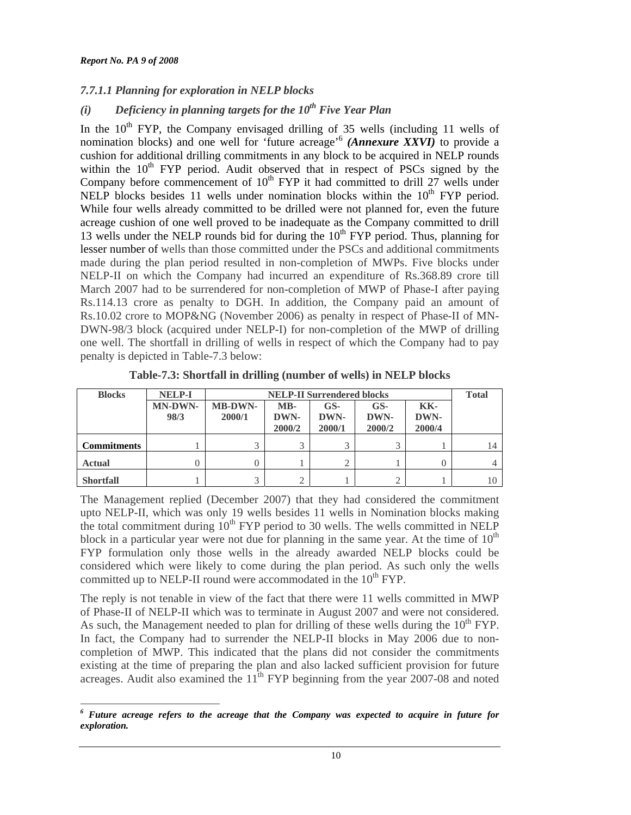# *7.7.1.1 Planning for exploration in NELP blocks*

# $(i)$  Deficiency in planning targets for the  $10^{th}$  Five Year Plan

In the  $10<sup>th</sup>$  FYP, the Company envisaged drilling of 35 wells (including 11 wells of nomination blocks) and one well for 'future acreage'<sup>6</sup> *(Annexure XXVI)* to provide a cushion for additional drilling commitments in any block to be acquired in NELP rounds within the  $10<sup>th</sup>$  FYP period. Audit observed that in respect of PSCs signed by the Company before commencement of  $10<sup>th</sup> FYP$  it had committed to drill 27 wells under NELP blocks besides 11 wells under nomination blocks within the  $10<sup>th</sup> FYP$  period. While four wells already committed to be drilled were not planned for, even the future acreage cushion of one well proved to be inadequate as the Company committed to drill 13 wells under the NELP rounds bid for during the  $10<sup>th</sup> FYP$  period. Thus, planning for lesser number of wells than those committed under the PSCs and additional commitments made during the plan period resulted in non-completion of MWPs. Five blocks under NELP-II on which the Company had incurred an expenditure of Rs.368.89 crore till March 2007 had to be surrendered for non-completion of MWP of Phase-I after paying Rs.114.13 crore as penalty to DGH. In addition, the Company paid an amount of Rs.10.02 crore to MOP&NG (November 2006) as penalty in respect of Phase-II of MN-DWN-98/3 block (acquired under NELP-I) for non-completion of the MWP of drilling one well. The shortfall in drilling of wells in respect of which the Company had to pay penalty is depicted in Table-7.3 below:

| <b>Blocks</b>      | <b>NELP-I</b>          |                          | <b>NELP-II Surrendered blocks</b> |                       |                       |                       |    |  |  |  |
|--------------------|------------------------|--------------------------|-----------------------------------|-----------------------|-----------------------|-----------------------|----|--|--|--|
|                    | <b>MN-DWN-</b><br>98/3 | <b>MB-DWN-</b><br>2000/1 | MB-<br>DWN-<br>2000/2             | GS-<br>DWN-<br>2000/1 | GS-<br>DWN-<br>2000/2 | KK-<br>DWN-<br>2000/4 |    |  |  |  |
| <b>Commitments</b> |                        |                          |                                   |                       | $\mathbf{R}$          |                       | 14 |  |  |  |
| <b>Actual</b>      |                        |                          |                                   |                       |                       |                       |    |  |  |  |
| <b>Shortfall</b>   |                        |                          |                                   |                       | ◠                     |                       |    |  |  |  |

**Table-7.3: Shortfall in drilling (number of wells) in NELP blocks** 

The Management replied (December 2007) that they had considered the commitment upto NELP-II, which was only 19 wells besides 11 wells in Nomination blocks making the total commitment during  $10^{th}$  FYP period to 30 wells. The wells committed in NELP block in a particular year were not due for planning in the same year. At the time of  $10<sup>th</sup>$ FYP formulation only those wells in the already awarded NELP blocks could be considered which were likely to come during the plan period. As such only the wells committed up to NELP-II round were accommodated in the  $10^{th}$  FYP.

The reply is not tenable in view of the fact that there were 11 wells committed in MWP of Phase-II of NELP-II which was to terminate in August 2007 and were not considered. As such, the Management needed to plan for drilling of these wells during the  $10<sup>th</sup> FYP$ . In fact, the Company had to surrender the NELP-II blocks in May 2006 due to noncompletion of MWP. This indicated that the plans did not consider the commitments existing at the time of preparing the plan and also lacked sufficient provision for future acreages. Audit also examined the  $11<sup>th</sup>$  FYP beginning from the year 2007-08 and noted

 $\overline{a}$ *6 Future acreage refers to the acreage that the Company was expected to acquire in future for exploration.*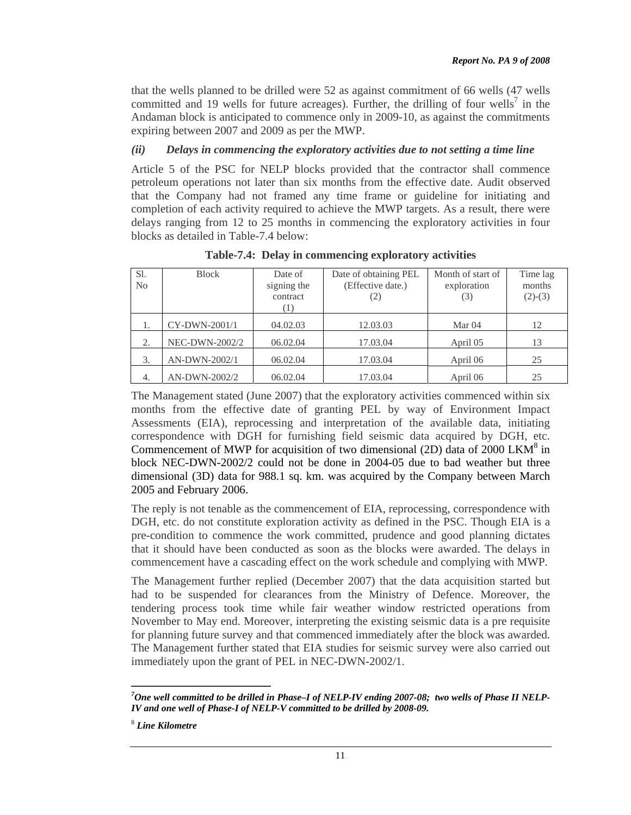that the wells planned to be drilled were 52 as against commitment of 66 wells (47 wells committed and 19 wells for future acreages). Further, the drilling of four wells<sup>7</sup> in the Andaman block is anticipated to commence only in 2009-10, as against the commitments expiring between 2007 and 2009 as per the MWP.

#### *(ii) Delays in commencing the exploratory activities due to not setting a time line*

Article 5 of the PSC for NELP blocks provided that the contractor shall commence petroleum operations not later than six months from the effective date. Audit observed that the Company had not framed any time frame or guideline for initiating and completion of each activity required to achieve the MWP targets. As a result, there were delays ranging from 12 to 25 months in commencing the exploratory activities in four blocks as detailed in Table-7.4 below:

| Sl.<br>No | <b>Block</b>   | Date of<br>signing the<br>contract<br>(1) | Date of obtaining PEL<br>(Effective date.)<br>(2) | Month of start of<br>exploration<br>(3) | Time lag<br>months<br>$(2)-(3)$ |
|-----------|----------------|-------------------------------------------|---------------------------------------------------|-----------------------------------------|---------------------------------|
|           | CY-DWN-2001/1  | 04.02.03                                  | 12.03.03                                          | Mar <sub>04</sub>                       | 12                              |
| 2.        | NEC-DWN-2002/2 | 06.02.04                                  | 17.03.04                                          | April 05                                | 13                              |
| 3.        | AN-DWN-2002/1  | 06.02.04                                  | 17.03.04                                          | April 06                                | 25                              |
| 4.        | AN-DWN-2002/2  | 06.02.04                                  | 17.03.04                                          | April 06                                | 25                              |

**Table-7.4: Delay in commencing exploratory activities** 

The Management stated (June 2007) that the exploratory activities commenced within six months from the effective date of granting PEL by way of Environment Impact Assessments (EIA), reprocessing and interpretation of the available data, initiating correspondence with DGH for furnishing field seismic data acquired by DGH, etc. Commencement of MWP for acquisition of two dimensional (2D) data of 2000 LKM<sup>8</sup> in block NEC-DWN-2002/2 could not be done in 2004-05 due to bad weather but three dimensional (3D) data for 988.1 sq. km. was acquired by the Company between March 2005 and February 2006.

The reply is not tenable as the commencement of EIA, reprocessing, correspondence with DGH, etc. do not constitute exploration activity as defined in the PSC. Though EIA is a pre-condition to commence the work committed, prudence and good planning dictates that it should have been conducted as soon as the blocks were awarded. The delays in commencement have a cascading effect on the work schedule and complying with MWP.

The Management further replied (December 2007) that the data acquisition started but had to be suspended for clearances from the Ministry of Defence. Moreover, the tendering process took time while fair weather window restricted operations from November to May end. Moreover, interpreting the existing seismic data is a pre requisite for planning future survey and that commenced immediately after the block was awarded. The Management further stated that EIA studies for seismic survey were also carried out immediately upon the grant of PEL in NEC-DWN-2002/1.

 $\overline{a}$ *7 One well committed to be drilled in Phase–I of NELP-IV ending 2007-08; two wells of Phase II NELP-IV and one well of Phase-I of NELP-V committed to be drilled by 2008-09.* 

<sup>8</sup> *Line Kilometre*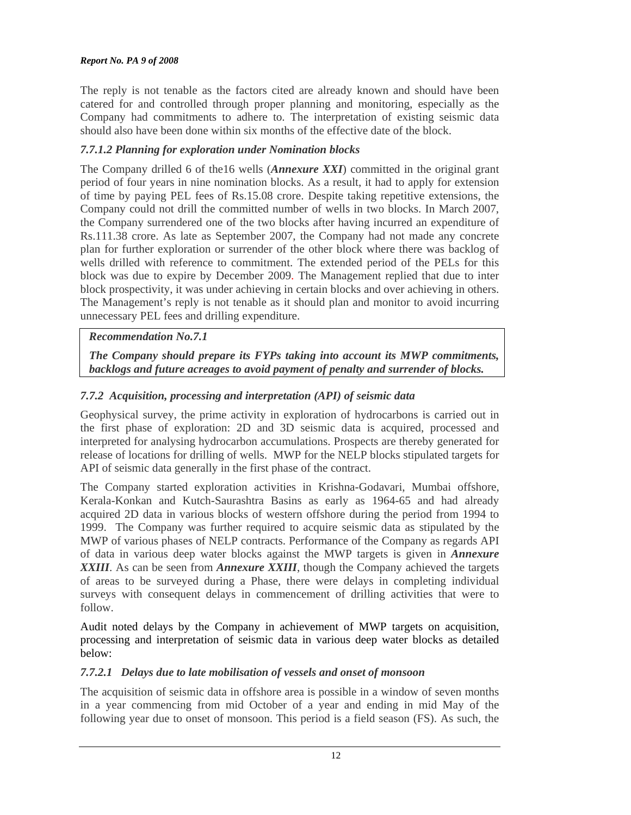The reply is not tenable as the factors cited are already known and should have been catered for and controlled through proper planning and monitoring, especially as the Company had commitments to adhere to. The interpretation of existing seismic data should also have been done within six months of the effective date of the block.

## *7.7.1.2 Planning for exploration under Nomination blocks*

The Company drilled 6 of the16 wells (*Annexure XXI*) committed in the original grant period of four years in nine nomination blocks. As a result, it had to apply for extension of time by paying PEL fees of Rs.15.08 crore. Despite taking repetitive extensions, the Company could not drill the committed number of wells in two blocks. In March 2007, the Company surrendered one of the two blocks after having incurred an expenditure of Rs.111.38 crore. As late as September 2007, the Company had not made any concrete plan for further exploration or surrender of the other block where there was backlog of wells drilled with reference to commitment. The extended period of the PELs for this block was due to expire by December 2009. The Management replied that due to inter block prospectivity, it was under achieving in certain blocks and over achieving in others. The Management's reply is not tenable as it should plan and monitor to avoid incurring unnecessary PEL fees and drilling expenditure.

# *Recommendation No.7.1*

*The Company should prepare its FYPs taking into account its MWP commitments, backlogs and future acreages to avoid payment of penalty and surrender of blocks.* 

# *7.7.2 Acquisition, processing and interpretation (API) of seismic data*

Geophysical survey, the prime activity in exploration of hydrocarbons is carried out in the first phase of exploration: 2D and 3D seismic data is acquired, processed and interpreted for analysing hydrocarbon accumulations. Prospects are thereby generated for release of locations for drilling of wells. MWP for the NELP blocks stipulated targets for API of seismic data generally in the first phase of the contract.

The Company started exploration activities in Krishna-Godavari, Mumbai offshore, Kerala-Konkan and Kutch-Saurashtra Basins as early as 1964-65 and had already acquired 2D data in various blocks of western offshore during the period from 1994 to 1999. The Company was further required to acquire seismic data as stipulated by the MWP of various phases of NELP contracts. Performance of the Company as regards API of data in various deep water blocks against the MWP targets is given in *Annexure XXIII*. As can be seen from *Annexure XXIII*, though the Company achieved the targets of areas to be surveyed during a Phase, there were delays in completing individual surveys with consequent delays in commencement of drilling activities that were to follow.

Audit noted delays by the Company in achievement of MWP targets on acquisition, processing and interpretation of seismic data in various deep water blocks as detailed below:

### *7.7.2.1 Delays due to late mobilisation of vessels and onset of monsoon*

The acquisition of seismic data in offshore area is possible in a window of seven months in a year commencing from mid October of a year and ending in mid May of the following year due to onset of monsoon. This period is a field season (FS). As such, the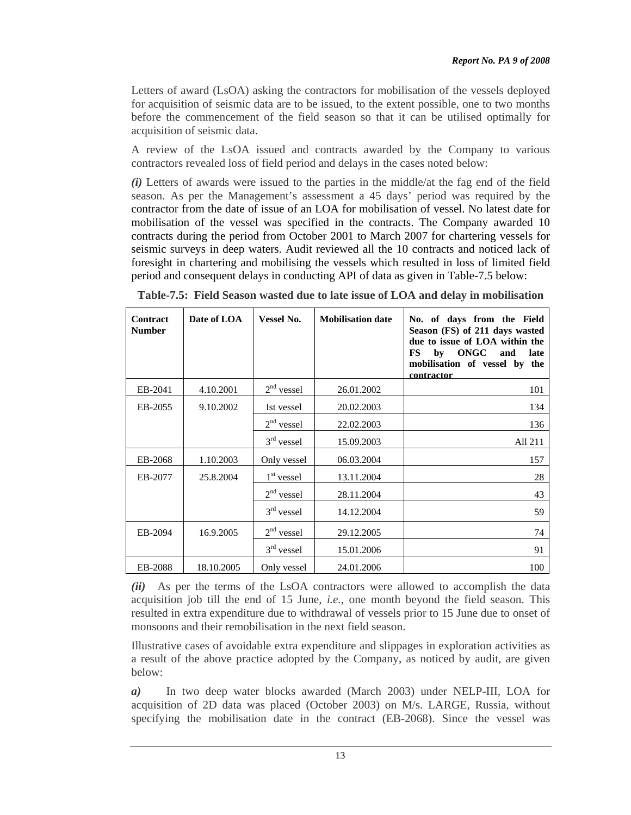Letters of award (LsOA) asking the contractors for mobilisation of the vessels deployed for acquisition of seismic data are to be issued, to the extent possible, one to two months before the commencement of the field season so that it can be utilised optimally for acquisition of seismic data.

A review of the LsOA issued and contracts awarded by the Company to various contractors revealed loss of field period and delays in the cases noted below:

*(i)* Letters of awards were issued to the parties in the middle/at the fag end of the field season. As per the Management's assessment a 45 days' period was required by the contractor from the date of issue of an LOA for mobilisation of vessel. No latest date for mobilisation of the vessel was specified in the contracts. The Company awarded 10 contracts during the period from October 2001 to March 2007 for chartering vessels for seismic surveys in deep waters. Audit reviewed all the 10 contracts and noticed lack of foresight in chartering and mobilising the vessels which resulted in loss of limited field period and consequent delays in conducting API of data as given in Table-7.5 below:

| <b>Contract</b><br><b>Number</b> | Date of LOA | <b>Vessel No.</b> | <b>Mobilisation date</b> | No. of days from the Field<br>Season (FS) of 211 days wasted<br>due to issue of LOA within the<br>ONGC<br>FS<br>by<br>and<br>late<br>mobilisation of vessel by the<br>contractor |
|----------------------------------|-------------|-------------------|--------------------------|----------------------------------------------------------------------------------------------------------------------------------------------------------------------------------|
| EB-2041                          | 4.10.2001   | $2nd$ vessel      | 26.01.2002               | 101                                                                                                                                                                              |
| EB-2055                          | 9.10.2002   | Ist vessel        | 20.02.2003               | 134                                                                                                                                                                              |
|                                  |             | $2nd$ vessel      | 22.02.2003               | 136                                                                                                                                                                              |
|                                  |             | $3rd$ vessel      | 15.09.2003               | All 211                                                                                                                                                                          |
| EB-2068                          | 1.10.2003   | Only vessel       | 06.03.2004               | 157                                                                                                                                                                              |
| EB-2077                          | 25.8.2004   | $1st$ vessel      | 13.11.2004               | 28                                                                                                                                                                               |
|                                  |             | $2nd$ vessel      | 28.11.2004               | 43                                                                                                                                                                               |
|                                  |             | $3rd$ vessel      | 14.12.2004               | 59                                                                                                                                                                               |
| EB-2094                          | 16.9.2005   | $2nd$ vessel      | 29.12.2005               | 74                                                                                                                                                                               |
|                                  |             | $3rd$ vessel      | 15.01.2006               | 91                                                                                                                                                                               |
| EB-2088                          | 18.10.2005  | Only vessel       | 24.01.2006               | 100                                                                                                                                                                              |

**Table-7.5: Field Season wasted due to late issue of LOA and delay in mobilisation** 

*(ii)* As per the terms of the LsOA contractors were allowed to accomplish the data acquisition job till the end of 15 June, *i.e.,* one month beyond the field season. This resulted in extra expenditure due to withdrawal of vessels prior to 15 June due to onset of monsoons and their remobilisation in the next field season.

Illustrative cases of avoidable extra expenditure and slippages in exploration activities as a result of the above practice adopted by the Company, as noticed by audit, are given below:

*a)* In two deep water blocks awarded (March 2003) under NELP-III, LOA for acquisition of 2D data was placed (October 2003) on M/s. LARGE, Russia, without specifying the mobilisation date in the contract (EB-2068). Since the vessel was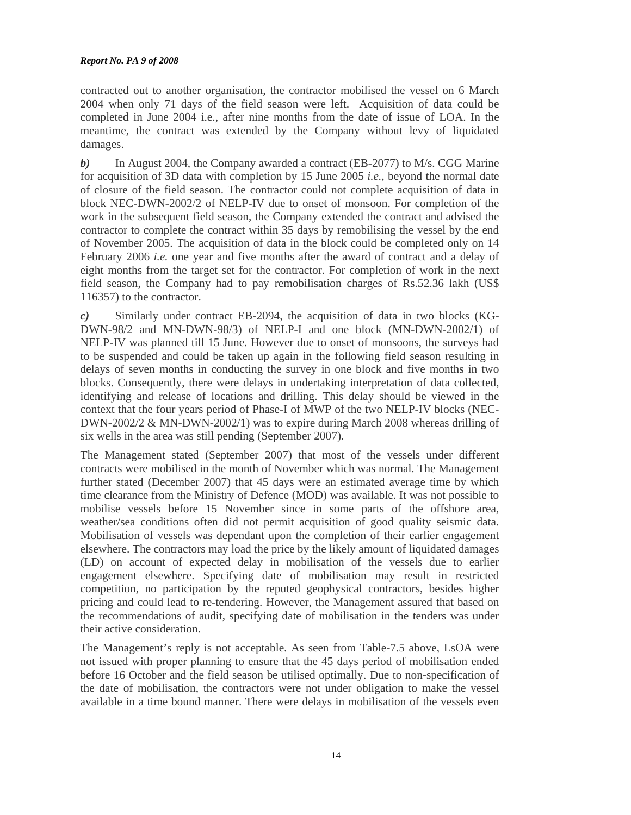contracted out to another organisation, the contractor mobilised the vessel on 6 March 2004 when only 71 days of the field season were left. Acquisition of data could be completed in June 2004 i.e., after nine months from the date of issue of LOA. In the meantime, the contract was extended by the Company without levy of liquidated damages.

*b)* In August 2004, the Company awarded a contract (EB-2077) to M/s. CGG Marine for acquisition of 3D data with completion by 15 June 2005 *i.e.,* beyond the normal date of closure of the field season. The contractor could not complete acquisition of data in block NEC-DWN-2002/2 of NELP-IV due to onset of monsoon. For completion of the work in the subsequent field season, the Company extended the contract and advised the contractor to complete the contract within 35 days by remobilising the vessel by the end of November 2005. The acquisition of data in the block could be completed only on 14 February 2006 *i.e.* one year and five months after the award of contract and a delay of eight months from the target set for the contractor. For completion of work in the next field season, the Company had to pay remobilisation charges of Rs.52.36 lakh (US\$ 116357) to the contractor.

*c)* Similarly under contract EB-2094, the acquisition of data in two blocks (KG-DWN-98/2 and MN-DWN-98/3) of NELP-I and one block (MN-DWN-2002/1) of NELP-IV was planned till 15 June. However due to onset of monsoons, the surveys had to be suspended and could be taken up again in the following field season resulting in delays of seven months in conducting the survey in one block and five months in two blocks. Consequently, there were delays in undertaking interpretation of data collected, identifying and release of locations and drilling. This delay should be viewed in the context that the four years period of Phase-I of MWP of the two NELP-IV blocks (NEC-DWN-2002/2 & MN-DWN-2002/1) was to expire during March 2008 whereas drilling of six wells in the area was still pending (September 2007).

The Management stated (September 2007) that most of the vessels under different contracts were mobilised in the month of November which was normal. The Management further stated (December 2007) that 45 days were an estimated average time by which time clearance from the Ministry of Defence (MOD) was available. It was not possible to mobilise vessels before 15 November since in some parts of the offshore area, weather/sea conditions often did not permit acquisition of good quality seismic data. Mobilisation of vessels was dependant upon the completion of their earlier engagement elsewhere. The contractors may load the price by the likely amount of liquidated damages (LD) on account of expected delay in mobilisation of the vessels due to earlier engagement elsewhere. Specifying date of mobilisation may result in restricted competition, no participation by the reputed geophysical contractors, besides higher pricing and could lead to re-tendering. However, the Management assured that based on the recommendations of audit, specifying date of mobilisation in the tenders was under their active consideration.

The Management's reply is not acceptable. As seen from Table-7.5 above, LsOA were not issued with proper planning to ensure that the 45 days period of mobilisation ended before 16 October and the field season be utilised optimally. Due to non-specification of the date of mobilisation, the contractors were not under obligation to make the vessel available in a time bound manner. There were delays in mobilisation of the vessels even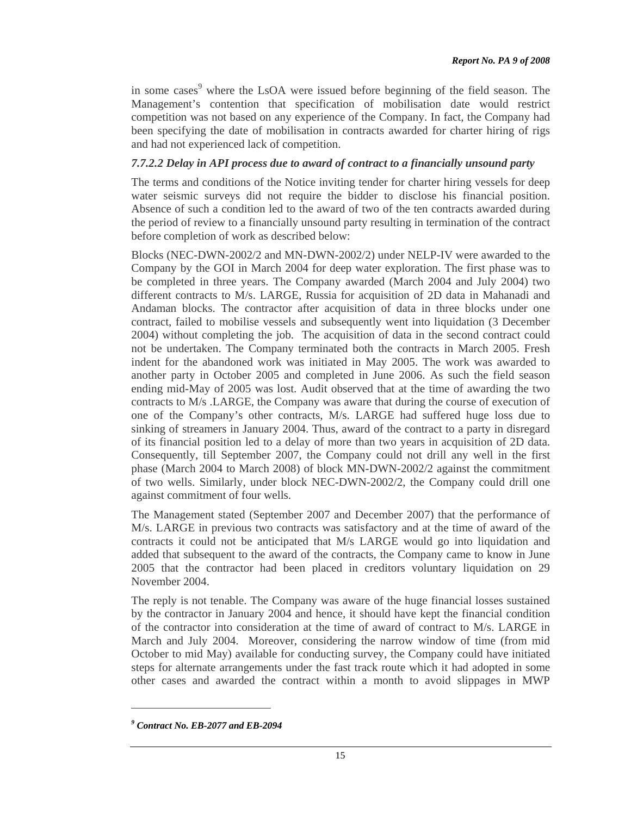in some cases<sup>9</sup> where the LsOA were issued before beginning of the field season. The Management's contention that specification of mobilisation date would restrict competition was not based on any experience of the Company. In fact, the Company had been specifying the date of mobilisation in contracts awarded for charter hiring of rigs and had not experienced lack of competition.

### *7.7.2.2 Delay in API process due to award of contract to a financially unsound party*

The terms and conditions of the Notice inviting tender for charter hiring vessels for deep water seismic surveys did not require the bidder to disclose his financial position. Absence of such a condition led to the award of two of the ten contracts awarded during the period of review to a financially unsound party resulting in termination of the contract before completion of work as described below:

Blocks (NEC-DWN-2002/2 and MN-DWN-2002/2) under NELP-IV were awarded to the Company by the GOI in March 2004 for deep water exploration. The first phase was to be completed in three years. The Company awarded (March 2004 and July 2004) two different contracts to M/s. LARGE, Russia for acquisition of 2D data in Mahanadi and Andaman blocks. The contractor after acquisition of data in three blocks under one contract, failed to mobilise vessels and subsequently went into liquidation (3 December 2004) without completing the job. The acquisition of data in the second contract could not be undertaken. The Company terminated both the contracts in March 2005. Fresh indent for the abandoned work was initiated in May 2005. The work was awarded to another party in October 2005 and completed in June 2006. As such the field season ending mid-May of 2005 was lost. Audit observed that at the time of awarding the two contracts to M/s .LARGE, the Company was aware that during the course of execution of one of the Company's other contracts, M/s. LARGE had suffered huge loss due to sinking of streamers in January 2004. Thus, award of the contract to a party in disregard of its financial position led to a delay of more than two years in acquisition of 2D data. Consequently, till September 2007, the Company could not drill any well in the first phase (March 2004 to March 2008) of block MN-DWN-2002/2 against the commitment of two wells. Similarly, under block NEC-DWN-2002/2, the Company could drill one against commitment of four wells.

The Management stated (September 2007 and December 2007) that the performance of M/s. LARGE in previous two contracts was satisfactory and at the time of award of the contracts it could not be anticipated that M/s LARGE would go into liquidation and added that subsequent to the award of the contracts, the Company came to know in June 2005 that the contractor had been placed in creditors voluntary liquidation on 29 November 2004.

The reply is not tenable. The Company was aware of the huge financial losses sustained by the contractor in January 2004 and hence, it should have kept the financial condition of the contractor into consideration at the time of award of contract to M/s. LARGE in March and July 2004. Moreover, considering the narrow window of time (from mid October to mid May) available for conducting survey, the Company could have initiated steps for alternate arrangements under the fast track route which it had adopted in some other cases and awarded the contract within a month to avoid slippages in MWP

*<sup>9</sup> Contract No. EB-2077 and EB-2094*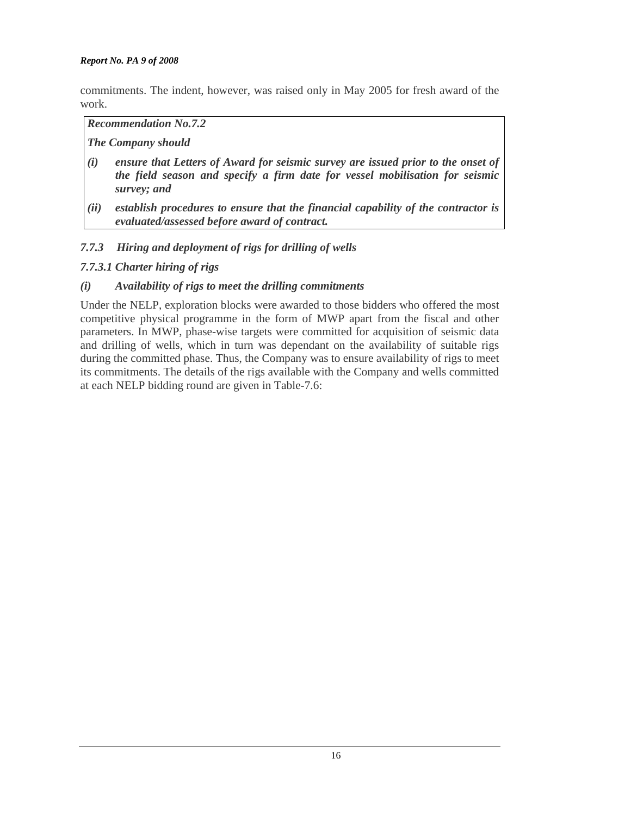commitments. The indent, however, was raised only in May 2005 for fresh award of the work.

#### *Recommendation No.7.2*

#### *The Company should*

- *(i) ensure that Letters of Award for seismic survey are issued prior to the onset of the field season and specify a firm date for vessel mobilisation for seismic survey; and*
- *(ii) establish procedures to ensure that the financial capability of the contractor is evaluated/assessed before award of contract.*

### *7.7.3 Hiring and deployment of rigs for drilling of wells*

# *7.7.3.1 Charter hiring of rigs*

### *(i) Availability of rigs to meet the drilling commitments*

Under the NELP, exploration blocks were awarded to those bidders who offered the most competitive physical programme in the form of MWP apart from the fiscal and other parameters. In MWP, phase-wise targets were committed for acquisition of seismic data and drilling of wells, which in turn was dependant on the availability of suitable rigs during the committed phase. Thus, the Company was to ensure availability of rigs to meet its commitments. The details of the rigs available with the Company and wells committed at each NELP bidding round are given in Table-7.6: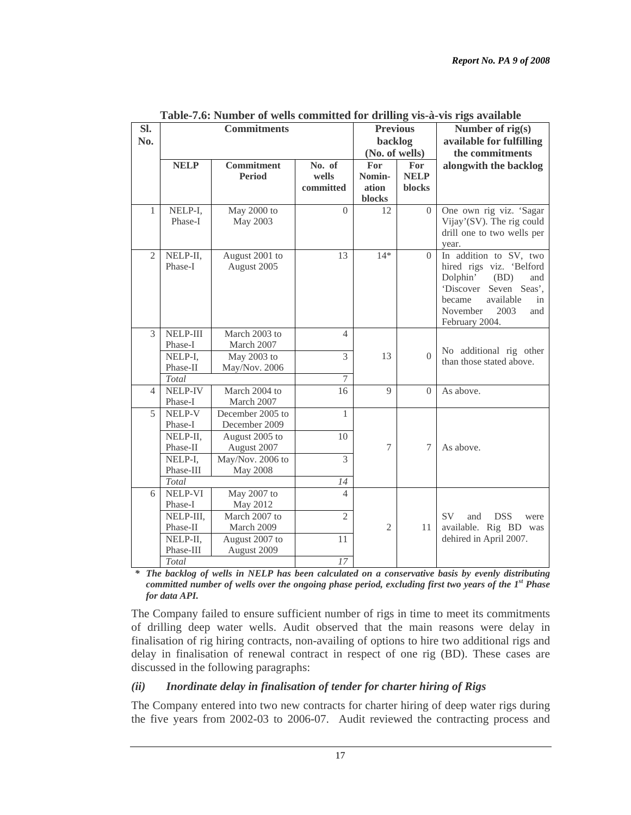| Sl.<br>No.     |                          | <b>Commitments</b>                 |                              | <b>Previous</b><br>backlog       |                              | Number of rig(s)<br>available for fulfilling                                                                                                                                         |
|----------------|--------------------------|------------------------------------|------------------------------|----------------------------------|------------------------------|--------------------------------------------------------------------------------------------------------------------------------------------------------------------------------------|
|                |                          |                                    |                              | (No. of wells)                   |                              | the commitments                                                                                                                                                                      |
|                | <b>NELP</b>              | <b>Commitment</b><br><b>Period</b> | No. of<br>wells<br>committed | For<br>Nomin-<br>ation<br>blocks | For<br><b>NELP</b><br>blocks | alongwith the backlog                                                                                                                                                                |
| $\mathbf{1}$   | NELP-I,<br>Phase-I       | May 2000 to<br>May 2003            | $\Omega$                     | 12                               | $\Omega$                     | One own rig viz. 'Sagar<br>Vijay'(SV). The rig could<br>drill one to two wells per<br>year.                                                                                          |
| $\overline{2}$ | NELP-II,<br>Phase-I      | August 2001 to<br>August 2005      | 13                           | $14*$                            | $\Omega$                     | In addition to SV, two<br>hired rigs viz. 'Belford<br>Dolphin'<br>(BD)<br>and<br>'Discover<br>Seven Seas',<br>became<br>available<br>in<br>November<br>2003<br>and<br>February 2004. |
| 3              | NELP-III<br>Phase-I      | March 2003 to<br>March 2007        | $\overline{4}$               |                                  |                              |                                                                                                                                                                                      |
|                | NELP-I,<br>Phase-II      | May 2003 to<br>May/Nov. 2006       | 3                            | 13                               | $\Omega$                     | No additional rig other<br>than those stated above.                                                                                                                                  |
|                | Total                    |                                    | 7                            |                                  |                              |                                                                                                                                                                                      |
| 4              | NELP-IV<br>Phase-I       | March 2004 to<br>March 2007        | 16                           | $\mathbf{Q}$                     | $\Omega$                     | As above.                                                                                                                                                                            |
| 5              | <b>NELP-V</b><br>Phase-I | December 2005 to<br>December 2009  | 1                            |                                  |                              |                                                                                                                                                                                      |
|                | NELP-II,<br>Phase-II     | August 2005 to<br>August 2007      | 10                           | 7                                | $\overline{7}$               | As above.                                                                                                                                                                            |
|                | NELP-I,<br>Phase-III     | May/Nov. 2006 to<br>May 2008       | $\overline{3}$               |                                  |                              |                                                                                                                                                                                      |
|                | Total                    |                                    | 14                           |                                  |                              |                                                                                                                                                                                      |
| 6              | <b>NELP-VI</b>           | May 2007 to                        | $\overline{4}$               |                                  |                              |                                                                                                                                                                                      |
|                | Phase-I                  | May 2012                           |                              |                                  |                              |                                                                                                                                                                                      |
|                | NELP-III,                | March 2007 to                      | $\overline{2}$               |                                  |                              | <b>SV</b><br><b>DSS</b><br>and<br>were                                                                                                                                               |
|                | Phase-II                 | March 2009                         |                              | 2                                | 11                           | available. Rig BD was                                                                                                                                                                |
|                | NELP-II,                 | August 2007 to                     | 11                           |                                  |                              | dehired in April 2007.                                                                                                                                                               |
|                | Phase-III                | August 2009                        |                              |                                  |                              |                                                                                                                                                                                      |
|                | Total                    |                                    | 17                           |                                  |                              |                                                                                                                                                                                      |

| Table-7.6: Number of wells committed for drilling vis-à-vis rigs available |  |
|----------------------------------------------------------------------------|--|
|----------------------------------------------------------------------------|--|

*\* The backlog of wells in NELP has been calculated on a conservative basis by evenly distributing committed number of wells over the ongoing phase period, excluding first two years of the 1st Phase for data API.* 

The Company failed to ensure sufficient number of rigs in time to meet its commitments of drilling deep water wells. Audit observed that the main reasons were delay in finalisation of rig hiring contracts, non-availing of options to hire two additional rigs and delay in finalisation of renewal contract in respect of one rig (BD). These cases are discussed in the following paragraphs:

#### *(ii) Inordinate delay in finalisation of tender for charter hiring of Rigs*

The Company entered into two new contracts for charter hiring of deep water rigs during the five years from 2002-03 to 2006-07. Audit reviewed the contracting process and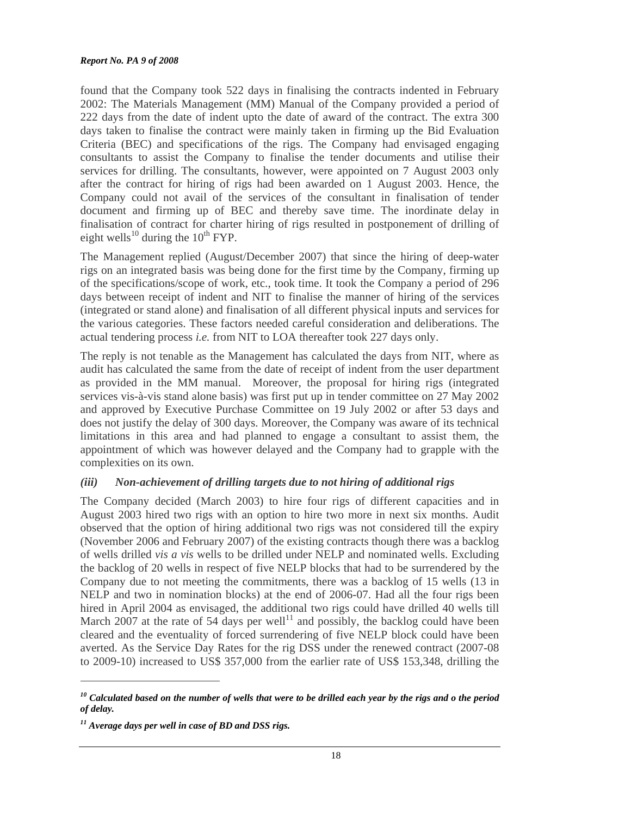found that the Company took 522 days in finalising the contracts indented in February 2002: The Materials Management (MM) Manual of the Company provided a period of 222 days from the date of indent upto the date of award of the contract. The extra 300 days taken to finalise the contract were mainly taken in firming up the Bid Evaluation Criteria (BEC) and specifications of the rigs. The Company had envisaged engaging consultants to assist the Company to finalise the tender documents and utilise their services for drilling. The consultants, however, were appointed on 7 August 2003 only after the contract for hiring of rigs had been awarded on 1 August 2003. Hence, the Company could not avail of the services of the consultant in finalisation of tender document and firming up of BEC and thereby save time. The inordinate delay in finalisation of contract for charter hiring of rigs resulted in postponement of drilling of eight wells<sup>10</sup> during the  $10^{th}$  FYP.

The Management replied (August/December 2007) that since the hiring of deep-water rigs on an integrated basis was being done for the first time by the Company, firming up of the specifications/scope of work, etc., took time. It took the Company a period of 296 days between receipt of indent and NIT to finalise the manner of hiring of the services (integrated or stand alone) and finalisation of all different physical inputs and services for the various categories. These factors needed careful consideration and deliberations. The actual tendering process *i.e.* from NIT to LOA thereafter took 227 days only.

The reply is not tenable as the Management has calculated the days from NIT, where as audit has calculated the same from the date of receipt of indent from the user department as provided in the MM manual. Moreover, the proposal for hiring rigs (integrated services vis-à-vis stand alone basis) was first put up in tender committee on 27 May 2002 and approved by Executive Purchase Committee on 19 July 2002 or after 53 days and does not justify the delay of 300 days. Moreover, the Company was aware of its technical limitations in this area and had planned to engage a consultant to assist them, the appointment of which was however delayed and the Company had to grapple with the complexities on its own.

#### *(iii) Non-achievement of drilling targets due to not hiring of additional rigs*

The Company decided (March 2003) to hire four rigs of different capacities and in August 2003 hired two rigs with an option to hire two more in next six months. Audit observed that the option of hiring additional two rigs was not considered till the expiry (November 2006 and February 2007) of the existing contracts though there was a backlog of wells drilled *vis a vis* wells to be drilled under NELP and nominated wells. Excluding the backlog of 20 wells in respect of five NELP blocks that had to be surrendered by the Company due to not meeting the commitments, there was a backlog of 15 wells (13 in NELP and two in nomination blocks) at the end of 2006-07. Had all the four rigs been hired in April 2004 as envisaged, the additional two rigs could have drilled 40 wells till March 2007 at the rate of 54 days per well<sup>11</sup> and possibly, the backlog could have been cleared and the eventuality of forced surrendering of five NELP block could have been averted. As the Service Day Rates for the rig DSS under the renewed contract (2007-08 to 2009-10) increased to US\$ 357,000 from the earlier rate of US\$ 153,348, drilling the

*<sup>10</sup> Calculated based on the number of wells that were to be drilled each year by the rigs and o the period of delay.* 

*<sup>11</sup> Average days per well in case of BD and DSS rigs.*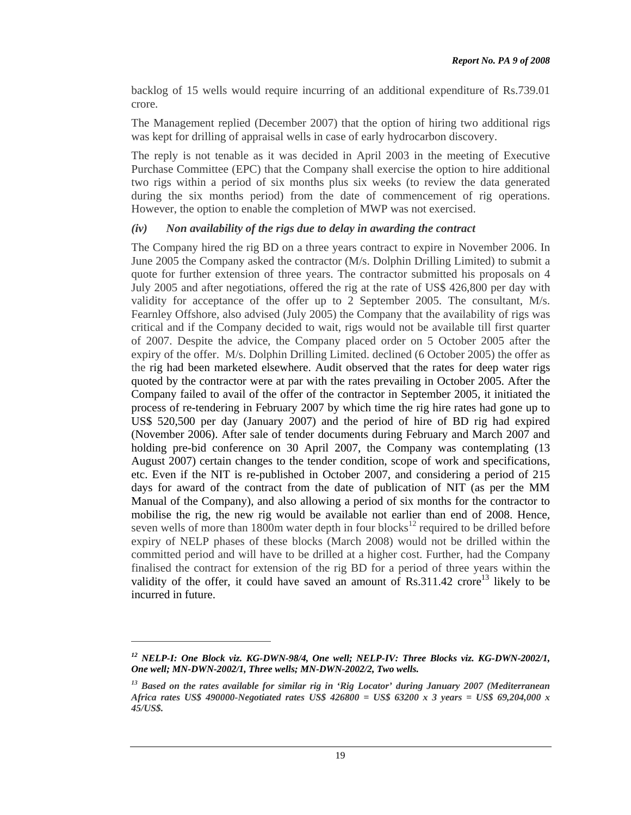backlog of 15 wells would require incurring of an additional expenditure of Rs.739.01 crore.

The Management replied (December 2007) that the option of hiring two additional rigs was kept for drilling of appraisal wells in case of early hydrocarbon discovery.

The reply is not tenable as it was decided in April 2003 in the meeting of Executive Purchase Committee (EPC) that the Company shall exercise the option to hire additional two rigs within a period of six months plus six weeks (to review the data generated during the six months period) from the date of commencement of rig operations. However, the option to enable the completion of MWP was not exercised.

#### *(iv) Non availability of the rigs due to delay in awarding the contract*

The Company hired the rig BD on a three years contract to expire in November 2006. In June 2005 the Company asked the contractor (M/s. Dolphin Drilling Limited) to submit a quote for further extension of three years. The contractor submitted his proposals on 4 July 2005 and after negotiations, offered the rig at the rate of US\$ 426,800 per day with validity for acceptance of the offer up to 2 September 2005. The consultant, M/s. Fearnley Offshore, also advised (July 2005) the Company that the availability of rigs was critical and if the Company decided to wait, rigs would not be available till first quarter of 2007. Despite the advice, the Company placed order on 5 October 2005 after the expiry of the offer. M/s. Dolphin Drilling Limited. declined (6 October 2005) the offer as the rig had been marketed elsewhere. Audit observed that the rates for deep water rigs quoted by the contractor were at par with the rates prevailing in October 2005. After the Company failed to avail of the offer of the contractor in September 2005, it initiated the process of re-tendering in February 2007 by which time the rig hire rates had gone up to US\$ 520,500 per day (January 2007) and the period of hire of BD rig had expired (November 2006). After sale of tender documents during February and March 2007 and holding pre-bid conference on 30 April 2007, the Company was contemplating (13) August 2007) certain changes to the tender condition, scope of work and specifications, etc. Even if the NIT is re-published in October 2007, and considering a period of 215 days for award of the contract from the date of publication of NIT (as per the MM Manual of the Company), and also allowing a period of six months for the contractor to mobilise the rig, the new rig would be available not earlier than end of 2008. Hence, seven wells of more than 1800m water depth in four blocks<sup>12</sup> required to be drilled before expiry of NELP phases of these blocks (March 2008) would not be drilled within the committed period and will have to be drilled at a higher cost. Further, had the Company finalised the contract for extension of the rig BD for a period of three years within the validity of the offer, it could have saved an amount of  $\text{Rs.}311.42$  crore<sup>13</sup> likely to be incurred in future.

*<sup>12</sup> NELP-I: One Block viz. KG-DWN-98/4, One well; NELP-IV: Three Blocks viz. KG-DWN-2002/1, One well; MN-DWN-2002/1, Three wells; MN-DWN-2002/2, Two wells.* 

*<sup>13</sup> Based on the rates available for similar rig in 'Rig Locator' during January 2007 (Mediterranean Africa rates US\$ 490000-Negotiated rates US\$ 426800 = US\$ 63200 x 3 years = US\$ 69,204,000 x 45/US\$.*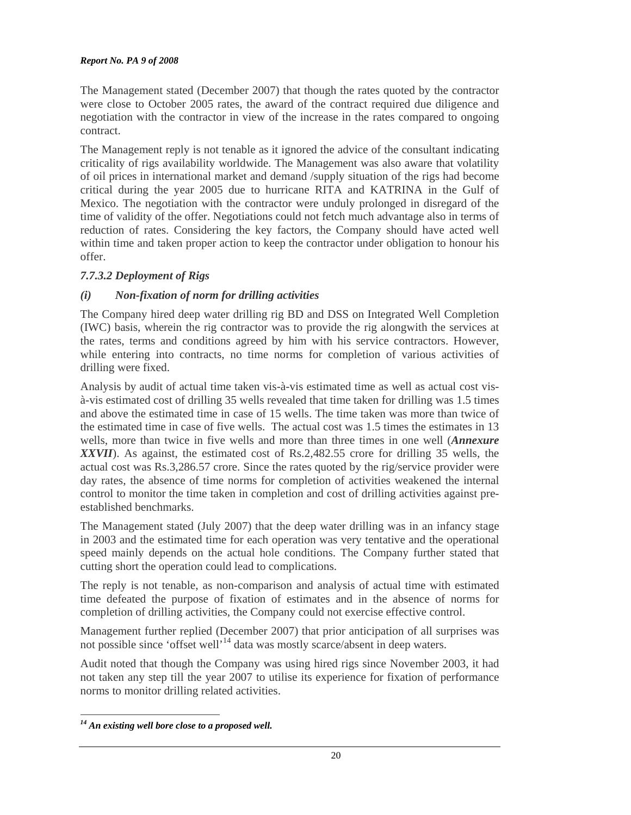The Management stated (December 2007) that though the rates quoted by the contractor were close to October 2005 rates, the award of the contract required due diligence and negotiation with the contractor in view of the increase in the rates compared to ongoing contract.

The Management reply is not tenable as it ignored the advice of the consultant indicating criticality of rigs availability worldwide. The Management was also aware that volatility of oil prices in international market and demand /supply situation of the rigs had become critical during the year 2005 due to hurricane RITA and KATRINA in the Gulf of Mexico. The negotiation with the contractor were unduly prolonged in disregard of the time of validity of the offer. Negotiations could not fetch much advantage also in terms of reduction of rates. Considering the key factors, the Company should have acted well within time and taken proper action to keep the contractor under obligation to honour his offer.

# *7.7.3.2 Deployment of Rigs*

# *(i) Non-fixation of norm for drilling activities*

The Company hired deep water drilling rig BD and DSS on Integrated Well Completion (IWC) basis, wherein the rig contractor was to provide the rig alongwith the services at the rates, terms and conditions agreed by him with his service contractors. However, while entering into contracts, no time norms for completion of various activities of drilling were fixed.

Analysis by audit of actual time taken vis-à-vis estimated time as well as actual cost visà-vis estimated cost of drilling 35 wells revealed that time taken for drilling was 1.5 times and above the estimated time in case of 15 wells. The time taken was more than twice of the estimated time in case of five wells. The actual cost was 1.5 times the estimates in 13 wells, more than twice in five wells and more than three times in one well (*Annexure XXVII*). As against, the estimated cost of Rs.2,482.55 crore for drilling 35 wells, the actual cost was Rs.3,286.57 crore. Since the rates quoted by the rig/service provider were day rates, the absence of time norms for completion of activities weakened the internal control to monitor the time taken in completion and cost of drilling activities against preestablished benchmarks.

The Management stated (July 2007) that the deep water drilling was in an infancy stage in 2003 and the estimated time for each operation was very tentative and the operational speed mainly depends on the actual hole conditions. The Company further stated that cutting short the operation could lead to complications.

The reply is not tenable, as non-comparison and analysis of actual time with estimated time defeated the purpose of fixation of estimates and in the absence of norms for completion of drilling activities, the Company could not exercise effective control.

Management further replied (December 2007) that prior anticipation of all surprises was not possible since 'offset well'<sup>14</sup> data was mostly scarce/absent in deep waters.

Audit noted that though the Company was using hired rigs since November 2003, it had not taken any step till the year 2007 to utilise its experience for fixation of performance norms to monitor drilling related activities.

 $\overline{a}$ *14 An existing well bore close to a proposed well.*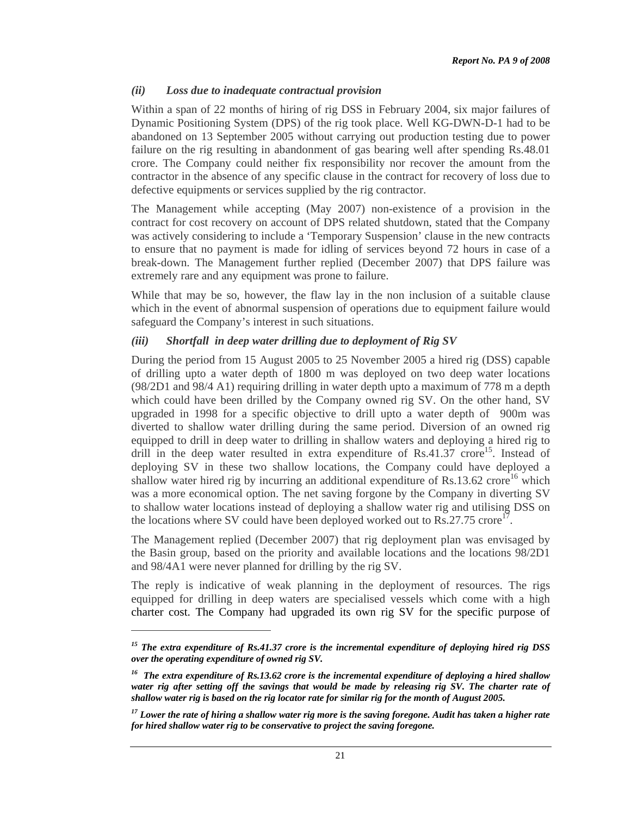#### *(ii) Loss due to inadequate contractual provision*

Within a span of 22 months of hiring of rig DSS in February 2004, six major failures of Dynamic Positioning System (DPS) of the rig took place. Well KG-DWN-D-1 had to be abandoned on 13 September 2005 without carrying out production testing due to power failure on the rig resulting in abandonment of gas bearing well after spending Rs.48.01 crore. The Company could neither fix responsibility nor recover the amount from the contractor in the absence of any specific clause in the contract for recovery of loss due to defective equipments or services supplied by the rig contractor.

The Management while accepting (May 2007) non-existence of a provision in the contract for cost recovery on account of DPS related shutdown, stated that the Company was actively considering to include a 'Temporary Suspension' clause in the new contracts to ensure that no payment is made for idling of services beyond 72 hours in case of a break-down. The Management further replied (December 2007) that DPS failure was extremely rare and any equipment was prone to failure.

While that may be so, however, the flaw lay in the non inclusion of a suitable clause which in the event of abnormal suspension of operations due to equipment failure would safeguard the Company's interest in such situations.

#### *(iii) Shortfall in deep water drilling due to deployment of Rig SV*

During the period from 15 August 2005 to 25 November 2005 a hired rig (DSS) capable of drilling upto a water depth of 1800 m was deployed on two deep water locations (98/2D1 and 98/4 A1) requiring drilling in water depth upto a maximum of 778 m a depth which could have been drilled by the Company owned rig SV. On the other hand, SV upgraded in 1998 for a specific objective to drill upto a water depth of 900m was diverted to shallow water drilling during the same period. Diversion of an owned rig equipped to drill in deep water to drilling in shallow waters and deploying a hired rig to drill in the deep water resulted in extra expenditure of  $Rs.41.37$  crore<sup>15</sup>. Instead of deploying SV in these two shallow locations, the Company could have deployed a shallow water hired rig by incurring an additional expenditure of Rs.13.62 crore<sup>16</sup> which was a more economical option. The net saving forgone by the Company in diverting SV to shallow water locations instead of deploying a shallow water rig and utilising DSS on the locations where SV could have been deployed worked out to  $\text{Rs.}27.75$  crore<sup>17</sup>.

The Management replied (December 2007) that rig deployment plan was envisaged by the Basin group, based on the priority and available locations and the locations 98/2D1 and 98/4A1 were never planned for drilling by the rig SV.

The reply is indicative of weak planning in the deployment of resources. The rigs equipped for drilling in deep waters are specialised vessels which come with a high charter cost. The Company had upgraded its own rig SV for the specific purpose of

*<sup>15</sup> The extra expenditure of Rs.41.37 crore is the incremental expenditure of deploying hired rig DSS over the operating expenditure of owned rig SV.* 

*<sup>16</sup> The extra expenditure of Rs.13.62 crore is the incremental expenditure of deploying a hired shallow water rig after setting off the savings that would be made by releasing rig SV. The charter rate of shallow water rig is based on the rig locator rate for similar rig for the month of August 2005.* 

*<sup>17</sup> Lower the rate of hiring a shallow water rig more is the saving foregone. Audit has taken a higher rate for hired shallow water rig to be conservative to project the saving foregone.*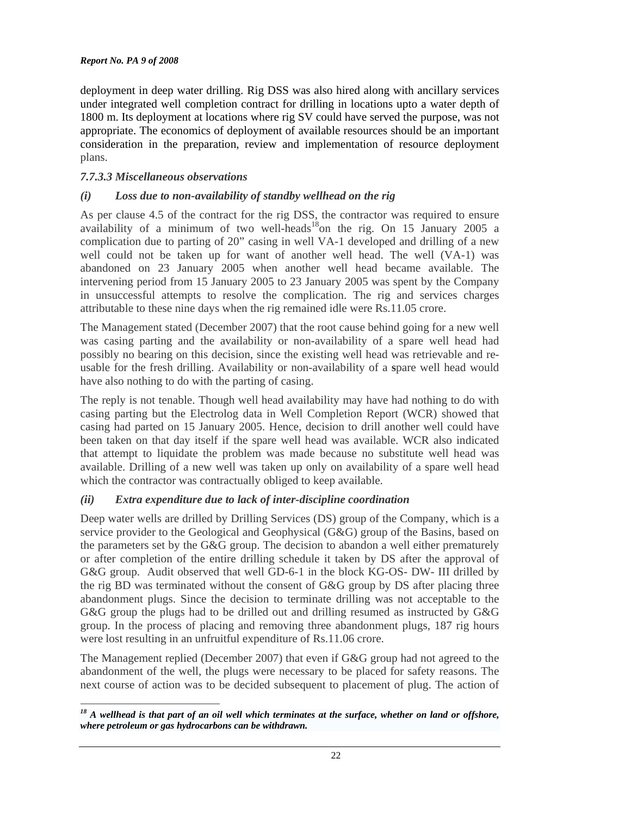deployment in deep water drilling. Rig DSS was also hired along with ancillary services under integrated well completion contract for drilling in locations upto a water depth of 1800 m. Its deployment at locations where rig SV could have served the purpose, was not appropriate. The economics of deployment of available resources should be an important consideration in the preparation, review and implementation of resource deployment plans.

#### *7.7.3.3 Miscellaneous observations*

### *(i) Loss due to non-availability of standby wellhead on the rig*

As per clause 4.5 of the contract for the rig DSS, the contractor was required to ensure availability of a minimum of two well-heads<sup>18</sup>on the rig. On 15 January 2005 a complication due to parting of 20" casing in well VA-1 developed and drilling of a new well could not be taken up for want of another well head. The well (VA-1) was abandoned on 23 January 2005 when another well head became available. The intervening period from 15 January 2005 to 23 January 2005 was spent by the Company in unsuccessful attempts to resolve the complication. The rig and services charges attributable to these nine days when the rig remained idle were Rs.11.05 crore.

The Management stated (December 2007) that the root cause behind going for a new well was casing parting and the availability or non-availability of a spare well head had possibly no bearing on this decision, since the existing well head was retrievable and reusable for the fresh drilling. Availability or non-availability of a **s**pare well head would have also nothing to do with the parting of casing.

The reply is not tenable. Though well head availability may have had nothing to do with casing parting but the Electrolog data in Well Completion Report (WCR) showed that casing had parted on 15 January 2005. Hence, decision to drill another well could have been taken on that day itself if the spare well head was available. WCR also indicated that attempt to liquidate the problem was made because no substitute well head was available. Drilling of a new well was taken up only on availability of a spare well head which the contractor was contractually obliged to keep available.

#### *(ii) Extra expenditure due to lack of inter-discipline coordination*

Deep water wells are drilled by Drilling Services (DS) group of the Company, which is a service provider to the Geological and Geophysical (G&G) group of the Basins, based on the parameters set by the G&G group. The decision to abandon a well either prematurely or after completion of the entire drilling schedule it taken by DS after the approval of G&G group. Audit observed that well GD-6-1 in the block KG-OS- DW- III drilled by the rig BD was terminated without the consent of G&G group by DS after placing three abandonment plugs. Since the decision to terminate drilling was not acceptable to the G&G group the plugs had to be drilled out and drilling resumed as instructed by G&G group. In the process of placing and removing three abandonment plugs, 187 rig hours were lost resulting in an unfruitful expenditure of Rs.11.06 crore.

The Management replied (December 2007) that even if G&G group had not agreed to the abandonment of the well, the plugs were necessary to be placed for safety reasons. The next course of action was to be decided subsequent to placement of plug. The action of

 $\overline{a}$ <sup>18</sup> A wellhead is that part of an oil well which terminates at the surface, whether on land or offshore, *where petroleum or gas hydrocarbons can be withdrawn.*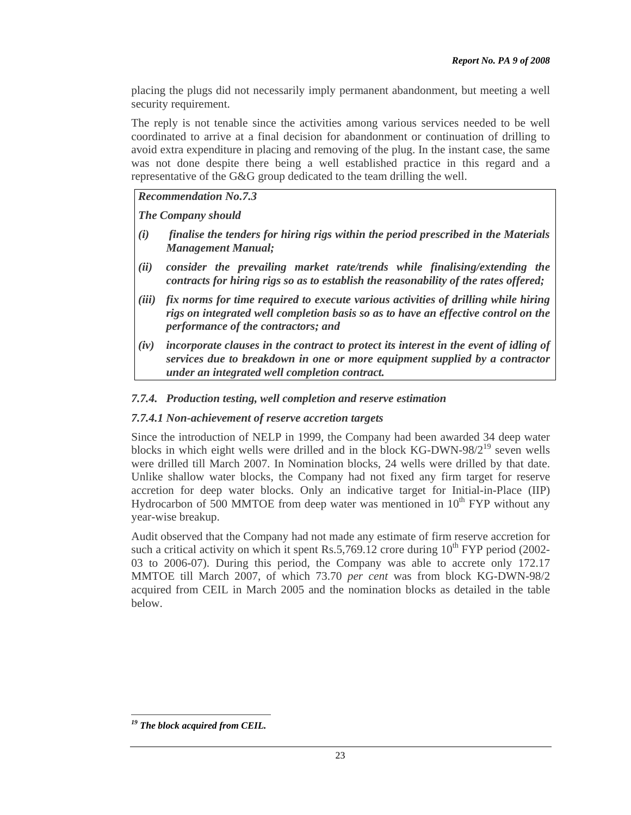placing the plugs did not necessarily imply permanent abandonment, but meeting a well security requirement.

The reply is not tenable since the activities among various services needed to be well coordinated to arrive at a final decision for abandonment or continuation of drilling to avoid extra expenditure in placing and removing of the plug. In the instant case, the same was not done despite there being a well established practice in this regard and a representative of the G&G group dedicated to the team drilling the well.

*Recommendation No.7.3* 

*The Company should* 

- *(i) finalise the tenders for hiring rigs within the period prescribed in the Materials Management Manual;*
- *(ii) consider the prevailing market rate/trends while finalising/extending the contracts for hiring rigs so as to establish the reasonability of the rates offered;*
- *(iii) fix norms for time required to execute various activities of drilling while hiring rigs on integrated well completion basis so as to have an effective control on the performance of the contractors; and*
- *(iv) incorporate clauses in the contract to protect its interest in the event of idling of services due to breakdown in one or more equipment supplied by a contractor under an integrated well completion contract.*

### *7.7.4. Production testing, well completion and reserve estimation*

### *7.7.4.1 Non-achievement of reserve accretion targets*

Since the introduction of NELP in 1999, the Company had been awarded 34 deep water blocks in which eight wells were drilled and in the block  $KG-DWN-98/2^{19}$  seven wells were drilled till March 2007. In Nomination blocks, 24 wells were drilled by that date. Unlike shallow water blocks, the Company had not fixed any firm target for reserve accretion for deep water blocks. Only an indicative target for Initial-in-Place (IIP) Hydrocarbon of 500 MMTOE from deep water was mentioned in  $10<sup>th</sup> FYP$  without any year-wise breakup.

Audit observed that the Company had not made any estimate of firm reserve accretion for such a critical activity on which it spent Rs.5,769.12 crore during  $10^{th}$  FYP period (2002-03 to 2006-07). During this period, the Company was able to accrete only 172.17 MMTOE till March 2007, of which 73.70 *per cent* was from block KG-DWN-98/2 acquired from CEIL in March 2005 and the nomination blocks as detailed in the table below.

*<sup>19</sup> The block acquired from CEIL.*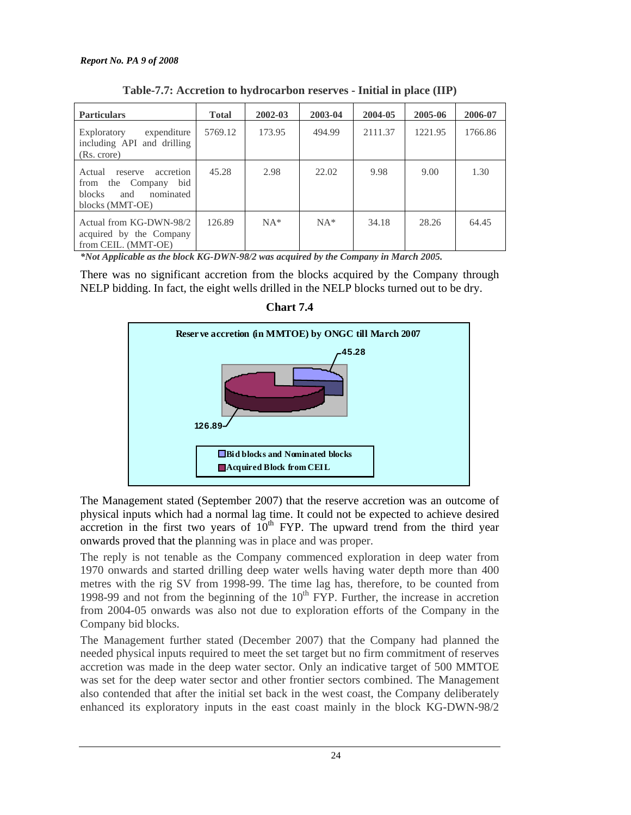| <b>Particulars</b>                                                                                                | <b>Total</b> | 2002-03 | 2003-04 | 2004-05 | 2005-06 | 2006-07 |
|-------------------------------------------------------------------------------------------------------------------|--------------|---------|---------|---------|---------|---------|
| Exploratory<br>expenditure<br>including API and drilling<br>(Rs. crore)                                           | 5769.12      | 173.95  | 494.99  | 2111.37 | 1221.95 | 1766.86 |
| Actual<br>accretion<br>reserve<br>bid<br>from the Company<br><b>blocks</b><br>and<br>nominated<br>blocks (MMT-OE) | 45.28        | 2.98    | 22.02   | 9.98    | 9.00    | 1.30    |
| Actual from KG-DWN-98/2<br>acquired by the Company<br>from CEIL. (MMT-OE)                                         | 126.89       | $NA*$   | $NA*$   | 34.18   | 28.26   | 64.45   |

**Table-7.7: Accretion to hydrocarbon reserves - Initial in place (IIP)** 

*\*Not Applicable as the block KG-DWN-98/2 was acquired by the Company in March 2005.* 

There was no significant accretion from the blocks acquired by the Company through NELP bidding. In fact, the eight wells drilled in the NELP blocks turned out to be dry.



**Chart 7.4** 

The Management stated (September 2007) that the reserve accretion was an outcome of physical inputs which had a normal lag time. It could not be expected to achieve desired accretion in the first two years of  $10^{th}$  FYP. The upward trend from the third year onwards proved that the planning was in place and was proper.

The reply is not tenable as the Company commenced exploration in deep water from 1970 onwards and started drilling deep water wells having water depth more than 400 metres with the rig SV from 1998-99. The time lag has, therefore, to be counted from 1998-99 and not from the beginning of the  $10<sup>th</sup>$  FYP. Further, the increase in accretion from 2004-05 onwards was also not due to exploration efforts of the Company in the Company bid blocks.

The Management further stated (December 2007) that the Company had planned the needed physical inputs required to meet the set target but no firm commitment of reserves accretion was made in the deep water sector. Only an indicative target of 500 MMTOE was set for the deep water sector and other frontier sectors combined. The Management also contended that after the initial set back in the west coast, the Company deliberately enhanced its exploratory inputs in the east coast mainly in the block KG-DWN-98/2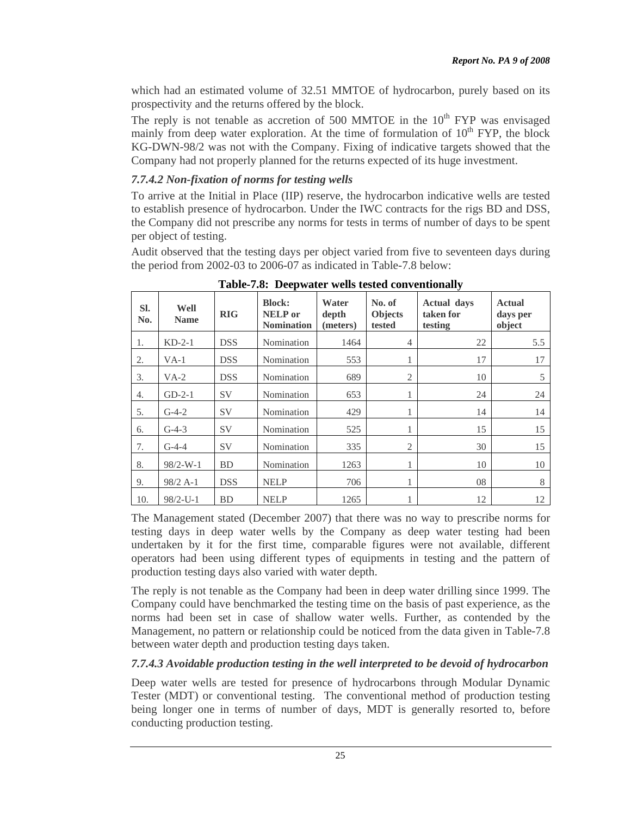which had an estimated volume of 32.51 MMTOE of hydrocarbon, purely based on its prospectivity and the returns offered by the block.

The reply is not tenable as accretion of 500 MMTOE in the  $10<sup>th</sup> FYP$  was envisaged mainly from deep water exploration. At the time of formulation of  $10<sup>th</sup> FYP$ , the block KG-DWN-98/2 was not with the Company. Fixing of indicative targets showed that the Company had not properly planned for the returns expected of its huge investment.

## *7.7.4.2 Non-fixation of norms for testing wells*

To arrive at the Initial in Place (IIP) reserve, the hydrocarbon indicative wells are tested to establish presence of hydrocarbon. Under the IWC contracts for the rigs BD and DSS, the Company did not prescribe any norms for tests in terms of number of days to be spent per object of testing.

Audit observed that the testing days per object varied from five to seventeen days during the period from 2002-03 to 2006-07 as indicated in Table-7.8 below:

| SI.<br>No. | Well<br><b>Name</b> | <b>RIG</b> | <b>Block:</b><br><b>NELP</b> or<br><b>Nomination</b> | Water<br>depth<br>(meters) | No. of<br><b>Objects</b><br>tested | <b>Actual days</b><br>taken for<br>testing | <b>Actual</b><br>days per<br>object |
|------------|---------------------|------------|------------------------------------------------------|----------------------------|------------------------------------|--------------------------------------------|-------------------------------------|
| 1.         | $KD-2-1$            | <b>DSS</b> | Nomination                                           | 1464                       | $\overline{4}$                     | 22                                         | 5.5                                 |
| 2.         | $VA-1$              | <b>DSS</b> | Nomination                                           | 553                        | 1                                  | 17                                         | 17                                  |
| 3.         | $VA-2$              | <b>DSS</b> | Nomination                                           | 689                        | $\overline{2}$                     | 10                                         | 5                                   |
| 4.         | $GD-2-1$            | <b>SV</b>  | Nomination                                           | 653                        |                                    | 24                                         | 24                                  |
| 5.         | $G-4-2$             | <b>SV</b>  | Nomination                                           | 429                        |                                    | 14                                         | 14                                  |
| 6.         | $G-4-3$             | <b>SV</b>  | Nomination                                           | 525                        | 1                                  | 15                                         | 15                                  |
| 7.         | $G-4-4$             | <b>SV</b>  | Nomination                                           | 335                        | $\overline{2}$                     | 30                                         | 15                                  |
| 8.         | $98/2-W-1$          | <b>BD</b>  | Nomination                                           | 1263                       | 1                                  | 10                                         | 10                                  |
| 9.         | $98/2$ A-1          | DSS.       | <b>NELP</b>                                          | 706                        | 1                                  | 08                                         | 8                                   |
| 10.        | $98/2$ -U-1         | BD         | <b>NELP</b>                                          | 1265                       |                                    | 12                                         | 12                                  |

**Table-7.8: Deepwater wells tested conventionally** 

The Management stated (December 2007) that there was no way to prescribe norms for testing days in deep water wells by the Company as deep water testing had been undertaken by it for the first time, comparable figures were not available, different operators had been using different types of equipments in testing and the pattern of production testing days also varied with water depth.

The reply is not tenable as the Company had been in deep water drilling since 1999. The Company could have benchmarked the testing time on the basis of past experience, as the norms had been set in case of shallow water wells. Further, as contended by the Management, no pattern or relationship could be noticed from the data given in Table-7.8 between water depth and production testing days taken.

# *7.7.4.3 Avoidable production testing in the well interpreted to be devoid of hydrocarbon*

Deep water wells are tested for presence of hydrocarbons through Modular Dynamic Tester (MDT) or conventional testing. The conventional method of production testing being longer one in terms of number of days, MDT is generally resorted to, before conducting production testing.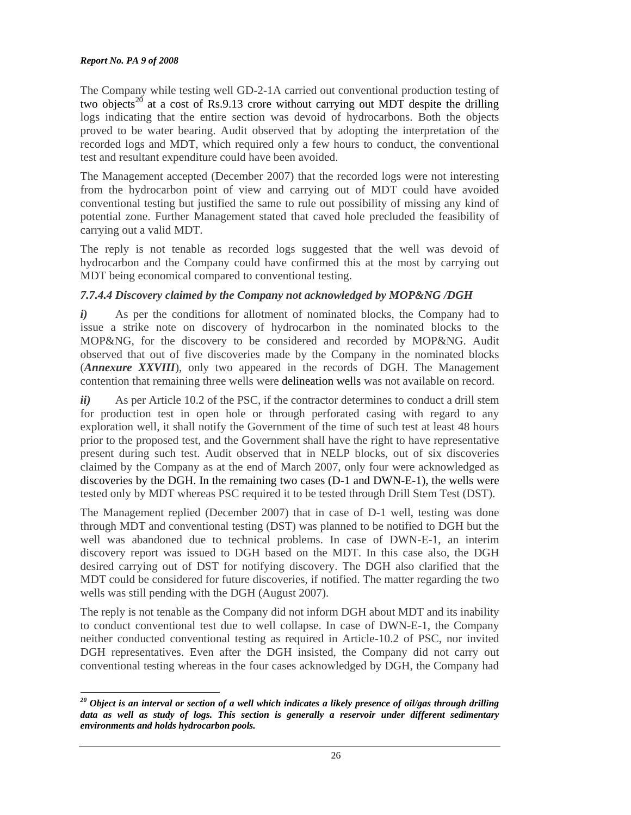The Company while testing well GD-2-1A carried out conventional production testing of two objects<sup>20</sup> at a cost of Rs.9.13 crore without carrying out MDT despite the drilling logs indicating that the entire section was devoid of hydrocarbons. Both the objects proved to be water bearing. Audit observed that by adopting the interpretation of the recorded logs and MDT, which required only a few hours to conduct, the conventional test and resultant expenditure could have been avoided.

The Management accepted (December 2007) that the recorded logs were not interesting from the hydrocarbon point of view and carrying out of MDT could have avoided conventional testing but justified the same to rule out possibility of missing any kind of potential zone. Further Management stated that caved hole precluded the feasibility of carrying out a valid MDT.

The reply is not tenable as recorded logs suggested that the well was devoid of hydrocarbon and the Company could have confirmed this at the most by carrying out MDT being economical compared to conventional testing.

### *7.7.4.4 Discovery claimed by the Company not acknowledged by MOP&NG /DGH*

*i*) As per the conditions for allotment of nominated blocks, the Company had to issue a strike note on discovery of hydrocarbon in the nominated blocks to the MOP&NG, for the discovery to be considered and recorded by MOP&NG. Audit observed that out of five discoveries made by the Company in the nominated blocks (*Annexure XXVIII*), only two appeared in the records of DGH. The Management contention that remaining three wells were delineation wells was not available on record.

*ii*) As per Article 10.2 of the PSC, if the contractor determines to conduct a drill stem for production test in open hole or through perforated casing with regard to any exploration well, it shall notify the Government of the time of such test at least 48 hours prior to the proposed test, and the Government shall have the right to have representative present during such test. Audit observed that in NELP blocks, out of six discoveries claimed by the Company as at the end of March 2007, only four were acknowledged as discoveries by the DGH. In the remaining two cases (D-1 and DWN-E-1), the wells were tested only by MDT whereas PSC required it to be tested through Drill Stem Test (DST).

The Management replied (December 2007) that in case of D-1 well, testing was done through MDT and conventional testing (DST) was planned to be notified to DGH but the well was abandoned due to technical problems. In case of DWN-E-1, an interim discovery report was issued to DGH based on the MDT. In this case also, the DGH desired carrying out of DST for notifying discovery. The DGH also clarified that the MDT could be considered for future discoveries, if notified. The matter regarding the two wells was still pending with the DGH (August 2007).

The reply is not tenable as the Company did not inform DGH about MDT and its inability to conduct conventional test due to well collapse. In case of DWN-E-1, the Company neither conducted conventional testing as required in Article-10.2 of PSC, nor invited DGH representatives. Even after the DGH insisted, the Company did not carry out conventional testing whereas in the four cases acknowledged by DGH, the Company had

 $\overline{a}$ *<sup>20</sup> Object is an interval or section of a well which indicates a likely presence of oil/gas through drilling data as well as study of logs. This section is generally a reservoir under different sedimentary environments and holds hydrocarbon pools.*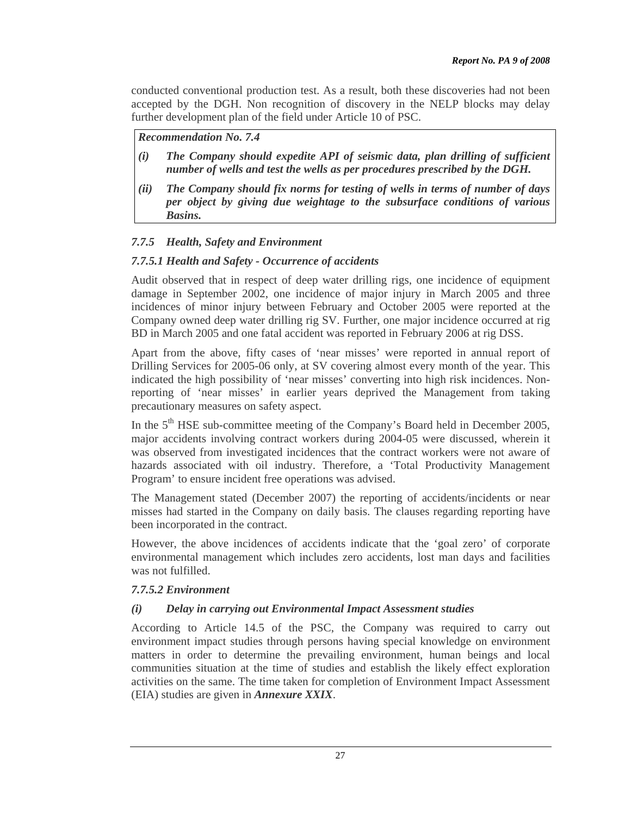conducted conventional production test. As a result, both these discoveries had not been accepted by the DGH. Non recognition of discovery in the NELP blocks may delay further development plan of the field under Article 10 of PSC.

*Recommendation No. 7.4* 

- *(i) The Company should expedite API of seismic data, plan drilling of sufficient number of wells and test the wells as per procedures prescribed by the DGH.*
- *(ii) The Company should fix norms for testing of wells in terms of number of days per object by giving due weightage to the subsurface conditions of various Basins.*

# *7.7.5 Health, Safety and Environment*

### *7.7.5.1 Health and Safety - Occurrence of accidents*

Audit observed that in respect of deep water drilling rigs, one incidence of equipment damage in September 2002, one incidence of major injury in March 2005 and three incidences of minor injury between February and October 2005 were reported at the Company owned deep water drilling rig SV. Further, one major incidence occurred at rig BD in March 2005 and one fatal accident was reported in February 2006 at rig DSS.

Apart from the above, fifty cases of 'near misses' were reported in annual report of Drilling Services for 2005-06 only, at SV covering almost every month of the year. This indicated the high possibility of 'near misses' converting into high risk incidences. Nonreporting of 'near misses' in earlier years deprived the Management from taking precautionary measures on safety aspect.

In the 5<sup>th</sup> HSE sub-committee meeting of the Company's Board held in December 2005, major accidents involving contract workers during 2004-05 were discussed, wherein it was observed from investigated incidences that the contract workers were not aware of hazards associated with oil industry. Therefore, a 'Total Productivity Management Program' to ensure incident free operations was advised.

The Management stated (December 2007) the reporting of accidents/incidents or near misses had started in the Company on daily basis. The clauses regarding reporting have been incorporated in the contract.

However, the above incidences of accidents indicate that the 'goal zero' of corporate environmental management which includes zero accidents, lost man days and facilities was not fulfilled.

### *7.7.5.2 Environment*

### *(i) Delay in carrying out Environmental Impact Assessment studies*

According to Article 14.5 of the PSC, the Company was required to carry out environment impact studies through persons having special knowledge on environment matters in order to determine the prevailing environment, human beings and local communities situation at the time of studies and establish the likely effect exploration activities on the same. The time taken for completion of Environment Impact Assessment (EIA) studies are given in *Annexure XXIX*.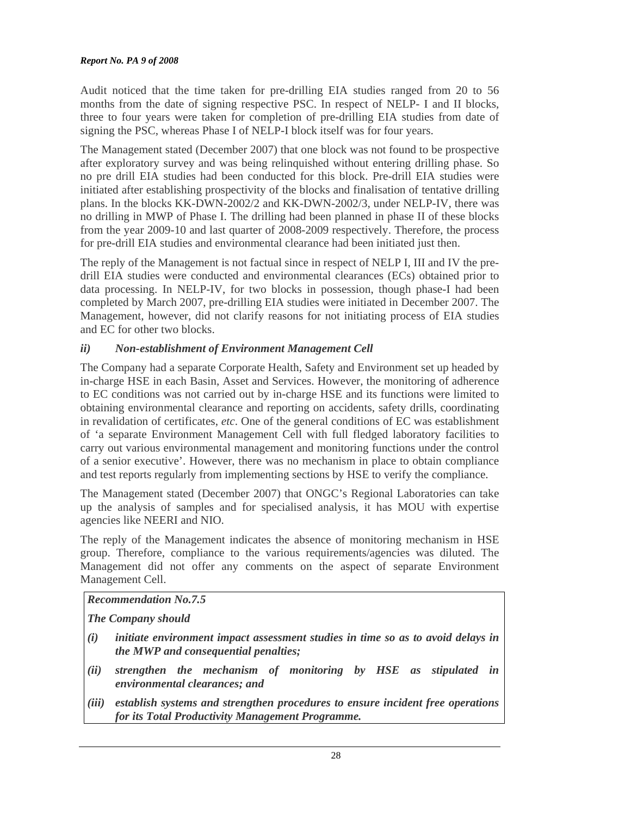Audit noticed that the time taken for pre-drilling EIA studies ranged from 20 to 56 months from the date of signing respective PSC. In respect of NELP- I and II blocks, three to four years were taken for completion of pre-drilling EIA studies from date of signing the PSC, whereas Phase I of NELP-I block itself was for four years.

The Management stated (December 2007) that one block was not found to be prospective after exploratory survey and was being relinquished without entering drilling phase. So no pre drill EIA studies had been conducted for this block. Pre-drill EIA studies were initiated after establishing prospectivity of the blocks and finalisation of tentative drilling plans. In the blocks KK-DWN-2002/2 and KK-DWN-2002/3, under NELP-IV, there was no drilling in MWP of Phase I. The drilling had been planned in phase II of these blocks from the year 2009-10 and last quarter of 2008-2009 respectively. Therefore, the process for pre-drill EIA studies and environmental clearance had been initiated just then.

The reply of the Management is not factual since in respect of NELP I, III and IV the predrill EIA studies were conducted and environmental clearances (ECs) obtained prior to data processing. In NELP-IV, for two blocks in possession, though phase-I had been completed by March 2007, pre-drilling EIA studies were initiated in December 2007. The Management, however, did not clarify reasons for not initiating process of EIA studies and EC for other two blocks.

# *ii) Non-establishment of Environment Management Cell*

The Company had a separate Corporate Health, Safety and Environment set up headed by in-charge HSE in each Basin, Asset and Services. However, the monitoring of adherence to EC conditions was not carried out by in-charge HSE and its functions were limited to obtaining environmental clearance and reporting on accidents, safety drills, coordinating in revalidation of certificates, *etc*. One of the general conditions of EC was establishment of 'a separate Environment Management Cell with full fledged laboratory facilities to carry out various environmental management and monitoring functions under the control of a senior executive'. However, there was no mechanism in place to obtain compliance and test reports regularly from implementing sections by HSE to verify the compliance.

The Management stated (December 2007) that ONGC's Regional Laboratories can take up the analysis of samples and for specialised analysis, it has MOU with expertise agencies like NEERI and NIO.

The reply of the Management indicates the absence of monitoring mechanism in HSE group. Therefore, compliance to the various requirements/agencies was diluted. The Management did not offer any comments on the aspect of separate Environment Management Cell.

### *Recommendation No.7.5*

*The Company should* 

- *(i) initiate environment impact assessment studies in time so as to avoid delays in the MWP and consequential penalties;*
- *(ii) strengthen the mechanism of monitoring by HSE as stipulated in environmental clearances; and*
- *(iii) establish systems and strengthen procedures to ensure incident free operations for its Total Productivity Management Programme.*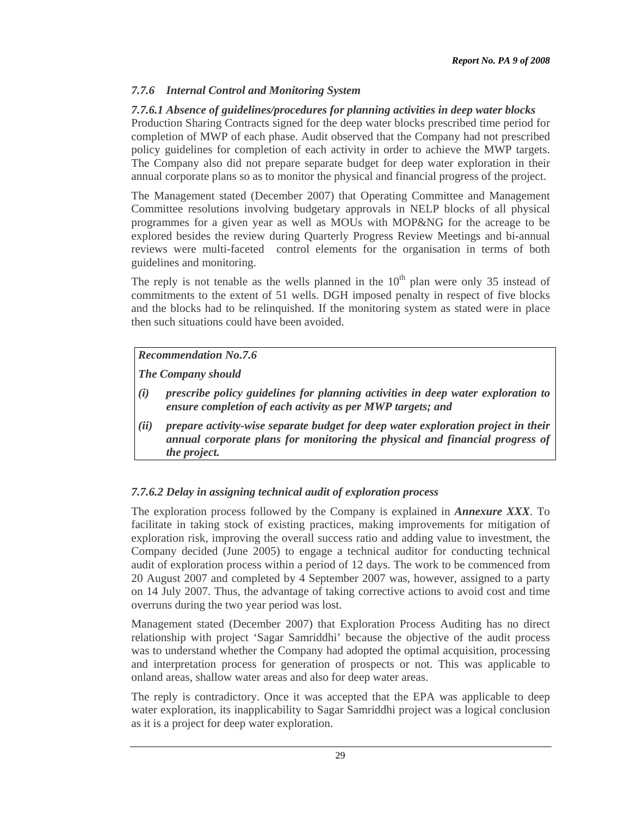# *7.7.6 Internal Control and Monitoring System*

### *7.7.6.1 Absence of guidelines/procedures for planning activities in deep water blocks*

Production Sharing Contracts signed for the deep water blocks prescribed time period for completion of MWP of each phase. Audit observed that the Company had not prescribed policy guidelines for completion of each activity in order to achieve the MWP targets. The Company also did not prepare separate budget for deep water exploration in their annual corporate plans so as to monitor the physical and financial progress of the project.

The Management stated (December 2007) that Operating Committee and Management Committee resolutions involving budgetary approvals in NELP blocks of all physical programmes for a given year as well as MOUs with MOP&NG for the acreage to be explored besides the review during Quarterly Progress Review Meetings and bi-annual reviews were multi-faceted control elements for the organisation in terms of both guidelines and monitoring.

The reply is not tenable as the wells planned in the  $10<sup>th</sup>$  plan were only 35 instead of commitments to the extent of 51 wells. DGH imposed penalty in respect of five blocks and the blocks had to be relinquished. If the monitoring system as stated were in place then such situations could have been avoided.

# *Recommendation No.7.6*

*The Company should* 

- *(i) prescribe policy guidelines for planning activities in deep water exploration to ensure completion of each activity as per MWP targets; and*
- *(ii) prepare activity-wise separate budget for deep water exploration project in their annual corporate plans for monitoring the physical and financial progress of the project.*

# *7.7.6.2 Delay in assigning technical audit of exploration process*

The exploration process followed by the Company is explained in *Annexure XXX*. To facilitate in taking stock of existing practices, making improvements for mitigation of exploration risk, improving the overall success ratio and adding value to investment, the Company decided (June 2005) to engage a technical auditor for conducting technical audit of exploration process within a period of 12 days. The work to be commenced from 20 August 2007 and completed by 4 September 2007 was, however, assigned to a party on 14 July 2007. Thus, the advantage of taking corrective actions to avoid cost and time overruns during the two year period was lost.

Management stated (December 2007) that Exploration Process Auditing has no direct relationship with project 'Sagar Samriddhi' because the objective of the audit process was to understand whether the Company had adopted the optimal acquisition, processing and interpretation process for generation of prospects or not. This was applicable to onland areas, shallow water areas and also for deep water areas.

The reply is contradictory. Once it was accepted that the EPA was applicable to deep water exploration, its inapplicability to Sagar Samriddhi project was a logical conclusion as it is a project for deep water exploration.